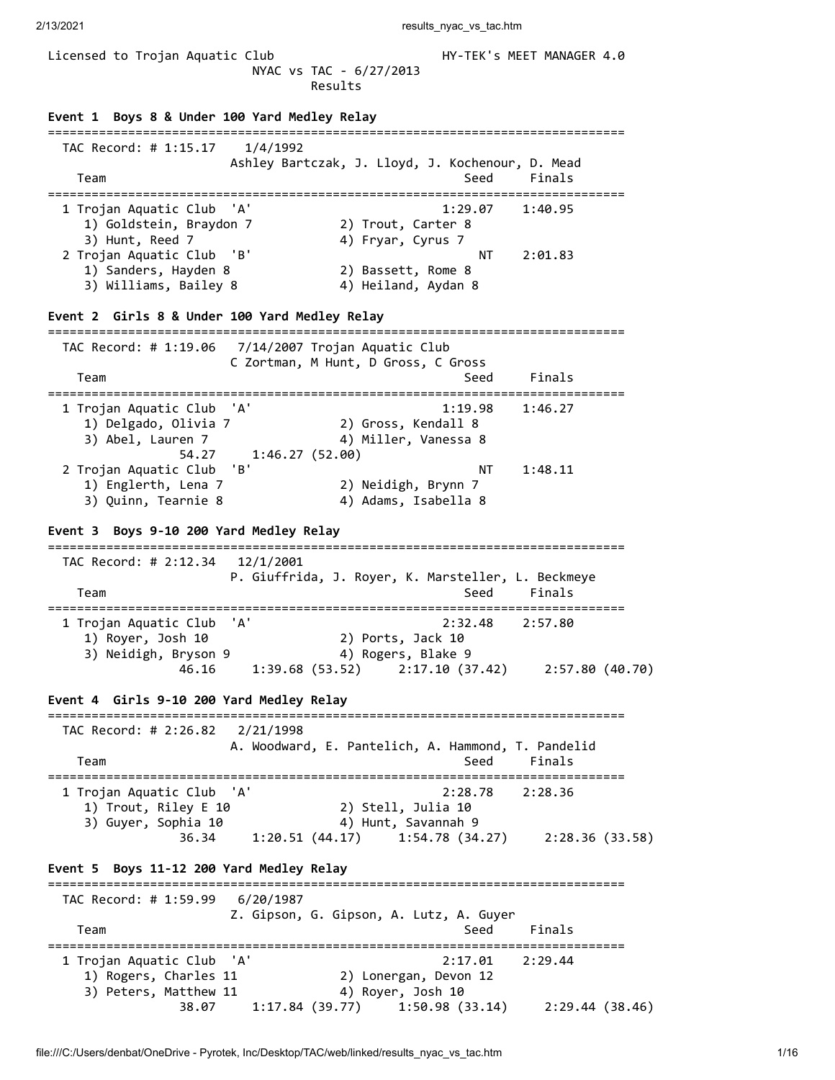2/13/2021 **results** nyac\_vs\_tac.html

Licensed to Trojan Aquatic Club **HY-TEK's MEET MANAGER 4.0**  NYAC vs TAC - 6/27/2013 Results **Event 1 Boys 8 & Under 100 Yard Medley Relay** =============================================================================== TAC Record: # 1:15.17 1/4/1992 Ashley Bartczak, J. Lloyd, J. Kochenour, D. Mead Team Seed Finals =============================================================================== 1 Trojan Aquatic Club 'A' 1:29.07 1:40.95 1) Goldstein, Braydon 7 2) Trout, Carter 8 3) Hunt, Reed 7 4) Fryar, Cyrus 7 2 Trojan Aquatic Club 'B' NT 2:01.83 1) Sanders, Hayden 8 2) Bassett, Rome 8 3) Williams, Bailey 8 4) Heiland, Aydan 8 **Event 2 Girls 8 & Under 100 Yard Medley Relay** =============================================================================== TAC Record: # 1:19.06 7/14/2007 Trojan Aquatic Club C Zortman, M Hunt, D Gross, C Gross Team Seed Finals =============================================================================== 1 Trojan Aquatic Club 'A' 1:19.98 1:46.27 1) Delgado, Olivia 7 2) Gross, Kendall 8 3) Abel, Lauren 7 4) Miller, Vanessa 8 54.27 1:46.27 (52.00) 2 Trojan Aquatic Club 'B' NT 1:48.11 1) Englerth, Lena 7 2) Neidigh, Brynn 7 3) Quinn, Tearnie 8 4) Adams, Isabella 8 **Event 3 Boys 9-10 200 Yard Medley Relay** =============================================================================== TAC Record: # 2:12.34 12/1/2001 P. Giuffrida, J. Royer, K. Marsteller, L. Beckmeye Team Seed Finals =============================================================================== 1 Trojan Aquatic Club 'A' 2:32.48 2:57.80 1) Royer, Josh 10 2) Ports, Jack 10 3) Neidigh, Bryson 9 4) Rogers, Blake 9 46.16 1:39.68 (53.52) 2:17.10 (37.42) 2:57.80 (40.70) **Event 4 Girls 9-10 200 Yard Medley Relay** =============================================================================== TAC Record: # 2:26.82 2/21/1998 A. Woodward, E. Pantelich, A. Hammond, T. Pandelid Team Seed Finals =============================================================================== 1 Trojan Aquatic Club 'A' 2:28.78 2:28.36 1) Trout, Riley E 10 2) Stell, Julia 10 3) Guyer, Sophia 10 4) Hunt, Savannah 9 36.34 1:20.51 (44.17) 1:54.78 (34.27) 2:28.36 (33.58) **Event 5 Boys 11-12 200 Yard Medley Relay** =============================================================================== TAC Record: # 1:59.99 6/20/1987 Z. Gipson, G. Gipson, A. Lutz, A. Guyer Team Seed Finals =============================================================================== 1 Trojan Aquatic Club 'A' 2:17.01 2:29.44 1) Rogers, Charles 11 2) Lonergan, Devon 12 3) Peters, Matthew 11 4) Royer, Josh 10 38.07 1:17.84 (39.77) 1:50.98 (33.14) 2:29.44 (38.46)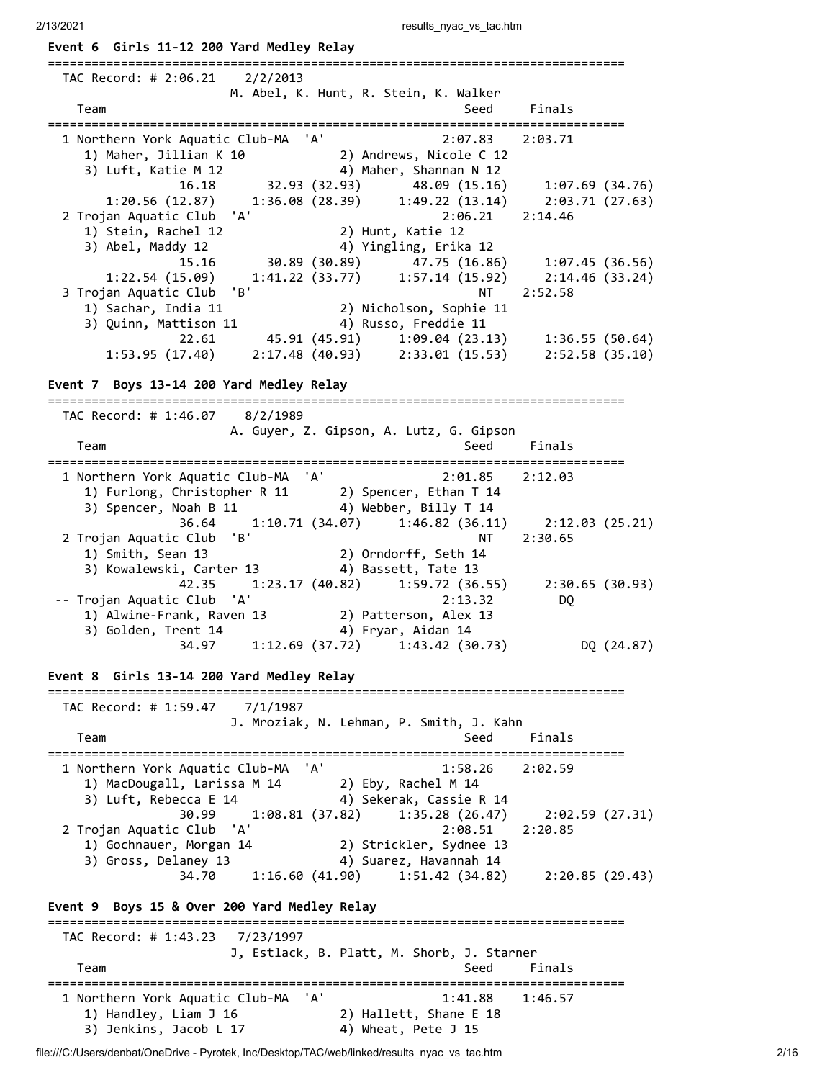2/13/2021 results\_nyac\_vs\_tac.htm **Event 6 Girls 11-12 200 Yard Medley Relay** =============================================================================== TAC Record: # 2:06.21 2/2/2013 M. Abel, K. Hunt, R. Stein, K. Walker Team Seed Finals =============================================================================== 1 Northern York Aquatic Club-MA 'A' 2:07.83 2:03.71 1) Maher, Jillian K 10 2) Andrews, Nicole C 12 3) Luft, Katie M 12 4) Maher, Shannan N 12 16.18 32.93 (32.93) 48.09 (15.16) 1:07.69 (34.76) 1:20.56 (12.87) 1:36.08 (28.39) 1:49.22 (13.14) 2:03.71 (27.63) 2 Trojan Aquatic Club 'A' 2:06.21 2:14.46 1) Stein, Rachel 12 2) Hunt, Katie 12 3) Abel, Maddy 12 4) Yingling, Erika 12 15.16 30.89 (30.89) 47.75 (16.86) 1:07.45 (36.56) 1:22.54 (15.09) 1:41.22 (33.77) 1:57.14 (15.92) 2:14.46 (33.24) 3 Trojan Aquatic Club 'B' NT 2:52.58 1) Sachar, India 11 2) Nicholson, Sophie 11 3) Quinn, Mattison 11 4) Russo, Freddie 11 22.61 45.91 (45.91) 1:09.04 (23.13) 1:36.55 (50.64) 1:53.95 (17.40) 2:17.48 (40.93) 2:33.01 (15.53) 2:52.58 (35.10) **Event 7 Boys 13-14 200 Yard Medley Relay** =============================================================================== TAC Record: # 1:46.07 8/2/1989 A. Guyer, Z. Gipson, A. Lutz, G. Gipson Team Seed Finals =============================================================================== 1 Northern York Aquatic Club-MA 'A' 2:01.85 2:12.03 1) Furlong, Christopher R 11 2) Spencer, Ethan T 14 3) Spencer, Noah B 11 4) Webber, Billy T 14 36.64 1:10.71 (34.07) 1:46.82 (36.11) 2:12.03 (25.21) 2 Trojan Aquatic Club 'B' NT 2:30.65 1) Smith, Sean 13 2) Orndorff, Seth 14 3) Kowalewski, Carter 13 4) Bassett, Tate 13 42.35 1:23.17 (40.82) 1:59.72 (36.55) 2:30.65 (30.93) -- Trojan Aquatic Club 'A' 2:13.32 DQ 1) Alwine-Frank, Raven 13 2) Patterson, Alex 13 3) Golden, Trent 14 4) Fryar, Aidan 14 34.97 1:12.69 (37.72) 1:43.42 (30.73) DQ (24.87) **Event 8 Girls 13-14 200 Yard Medley Relay** =============================================================================== TAC Record: # 1:59.47 7/1/1987 J. Mroziak, N. Lehman, P. Smith, J. Kahn Team Seed Finals =============================================================================== 1 Northern York Aquatic Club-MA 'A' 1:58.26 2:02.59 1) MacDougall, Larissa M 14 2) Eby, Rachel M 14 3) Luft, Rebecca E 14 4) Sekerak, Cassie R 14 30.99 1:08.81 (37.82) 1:35.28 (26.47) 2:02.59 (27.31) 2 Trojan Aquatic Club 'A' 2:08.51 2:20.85 1) Gochnauer, Morgan 14 2) Strickler, Sydnee 13 3) Gross, Delaney 13 4) Suarez, Havannah 14 34.70 1:16.60 (41.90) 1:51.42 (34.82) 2:20.85 (29.43) **Event 9 Boys 15 & Over 200 Yard Medley Relay** =============================================================================== TAC Record: # 1:43.23 7/23/1997 J, Estlack, B. Platt, M. Shorb, J. Starner Team Seed Finals =============================================================================== 1 Northern York Aquatic Club-MA 'A' 1:41.88 1:46.57 1) Handley, Liam J 16 2) Hallett, Shane E 18 3) Jenkins, Jacob L 17 4) Wheat, Pete J 15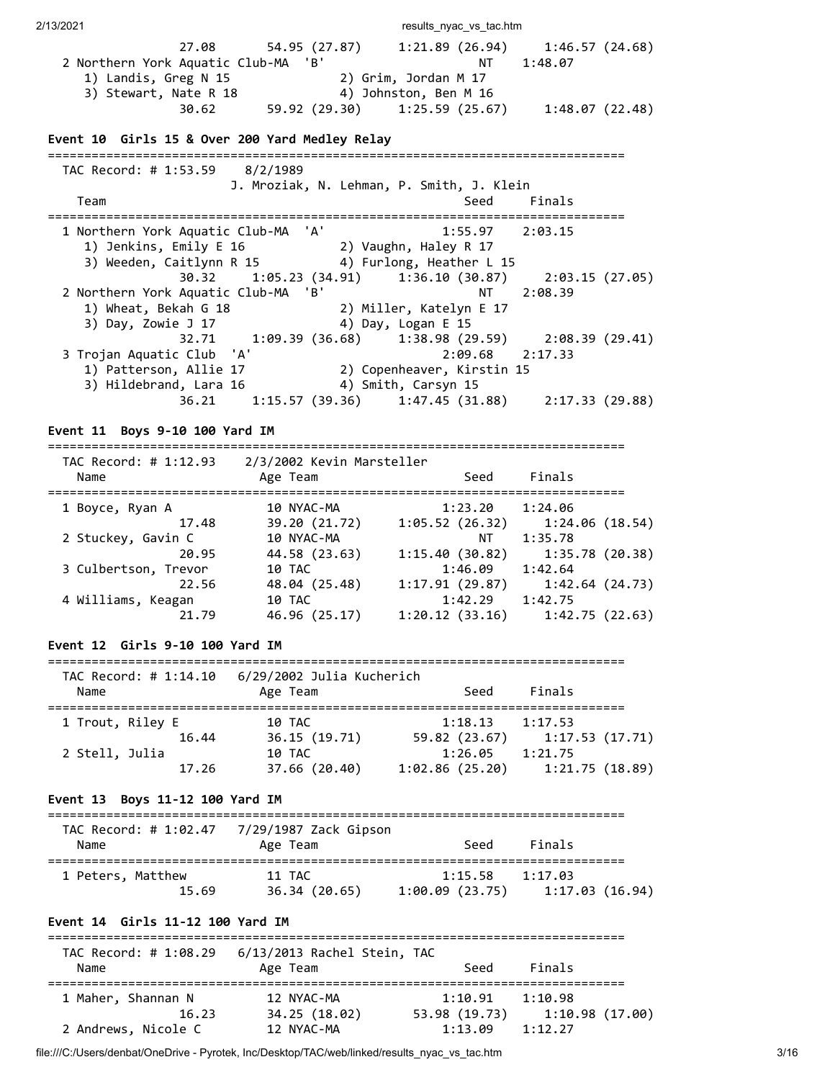| 2/13/2021                                                                                                                               |                                                                                                                                                                                      | results_nyac_vs_tac.htm |                                                                           |
|-----------------------------------------------------------------------------------------------------------------------------------------|--------------------------------------------------------------------------------------------------------------------------------------------------------------------------------------|-------------------------|---------------------------------------------------------------------------|
| 2 Northern York Aquatic Club-MA 'B'                                                                                                     | 27.08 54.95 (27.87) 1:21.89 (26.94) 1:46.57 (24.68)<br>1) Landis, Greg N 15<br>3) Stewart, Nate R 18<br>3) Stewart, Nate R 18<br>30.62 59.92 (29.30) 1:25.59 (25.67) 1:48.07 (22.48) | NT T                    | 1:48.07                                                                   |
| Event 10 Girls 15 & Over 200 Yard Medley Relay                                                                                          |                                                                                                                                                                                      |                         |                                                                           |
|                                                                                                                                         |                                                                                                                                                                                      |                         |                                                                           |
| TAC Record: # 1:53.59 8/2/1989                                                                                                          | J. Mroziak, N. Lehman, P. Smith, J. Klein                                                                                                                                            |                         |                                                                           |
| Team                                                                                                                                    |                                                                                                                                                                                      |                         | Seed Finals                                                               |
| 1 Northern York Aquatic Club-MA 'A'                                                                                                     | 1) Jenkins, Emily E 16 (2) Vaughn, Haley R 17<br>3) Weeden, Caitlynn R 15 (4) Furlong, Heather L 15                                                                                  | 1:55.97 2:03.15         |                                                                           |
| 2 Northern York Aquatic Club-MA 'B'                                                                                                     | 30.32 1:05.23 (34.91) 1:36.10 (30.87) 2:03.15 (27.05)<br>1) Wheat, Bekah G 18 (2) Miller, Katelyn E 17<br>3) Day, Zowie J 17 (4) Day, Logan E 15                                     |                         | NT 2:08.39                                                                |
| 3 Trojan Aquatic Club 'A' 2:09.68 2:<br>1) Patterson, Allie 17 2) Copenheaver, Kirstin 15<br>3) Hildebrand, Lara 16 4) Smith, Carsyn 15 | 32.71 1:09.39 (36.68) 1:38.98 (29.59) 2:08.39 (29.41)                                                                                                                                | 2:09.68 2:17.33         |                                                                           |
|                                                                                                                                         | 36.21 1:15.57 (39.36) 1:47.45 (31.88) 2:17.33 (29.88)                                                                                                                                |                         |                                                                           |
| Event 11 Boys 9-10 100 Yard IM                                                                                                          |                                                                                                                                                                                      |                         |                                                                           |
| TAC Record: # 1:12.93 2/3/2002 Kevin Marsteller                                                                                         |                                                                                                                                                                                      |                         |                                                                           |
| Name                                                                                                                                    | Age Team                                                                                                                                                                             | Seed Finals             |                                                                           |
| 1 Boyce, Ryan A<br>17.48 19.20 (21.72) 1:05.52 (26.32) 1:24.06 (18.54)<br>2 Stuckey, Gavin C 10 NYAC-MA NT 1:35.78                      |                                                                                                                                                                                      |                         |                                                                           |
|                                                                                                                                         | 10 NYAC-MA                                                                                                                                                                           |                         |                                                                           |
| 3 Culbertson, Trevor                                                                                                                    | 20.95 44.58 (23.63) 1:15.40 (30.82) 1:35.78 (20.38)<br>10 TAC                                                                                                                        | $1:46.09$ $1:42.64$     |                                                                           |
| 4 Williams, Keagan                                                                                                                      | 22.56 48.04 (25.48) 1:17.91 (29.87) 1:42.64 (24.73)<br><b>10 TAC</b>                                                                                                                 | $1:42.29$ $1:42.75$     |                                                                           |
| 21.79                                                                                                                                   | 46.96 (25.17)                                                                                                                                                                        |                         | $1:20.12$ (33.16) $1:42.75$ (22.63)                                       |
| Event 12 Girls 9-10 100 Yard IM                                                                                                         |                                                                                                                                                                                      |                         |                                                                           |
| =============================                                                                                                           |                                                                                                                                                                                      |                         |                                                                           |
| Name                                                                                                                                    | Age Team                                                                                                                                                                             | Seed                    | Finals                                                                    |
| 1 Trout, Riley E                                                                                                                        | 10 TAC                                                                                                                                                                               | 1:18.13                 | 1:17.53                                                                   |
| 16.44<br>2 Stell, Julia                                                                                                                 | 36.15 (19.71) 59.82 (23.67) 1:17.53 (17.71)<br>10 TAC                                                                                                                                | 1:26.05 1:21.75         |                                                                           |
| 17.26                                                                                                                                   |                                                                                                                                                                                      |                         | $37.66$ (20.40) $1:02.86$ (25.20) $1:21.75$ (18.89)                       |
| Event 13 Boys 11-12 100 Yard IM                                                                                                         |                                                                                                                                                                                      |                         |                                                                           |
| TAC Record: # 1:02.47                                                                                                                   | 7/29/1987 Zack Gipson                                                                                                                                                                |                         |                                                                           |
| Name                                                                                                                                    | Age Team                                                                                                                                                                             | Seed                    | Finals                                                                    |
| 1 Peters, Matthew                                                                                                                       | 11 TAC<br>15.69 36.34 (20.65) 1:00.09 (23.75) 1:17.03 (16.94)                                                                                                                        | 1:15.58                 | 1:17.03                                                                   |
| Event 14 Girls 11-12 100 Yard IM<br>-------------------------                                                                           |                                                                                                                                                                                      |                         |                                                                           |
| Name                                                                                                                                    | Age Team                                                                                                                                                                             | Seed                    | Finals                                                                    |
| 1 Maher, Shannan N<br>16.23<br>2 Andrews, Nicole C                                                                                      | 12 NYAC-MA                                                                                                                                                                           | $1:10.91$ $1:10.98$     | 34.25 (18.02) 53.98 (19.73) 1:10.98 (17.00)<br>12 NYAC-MA 1:13.09 1:12.27 |

file:///C:/Users/denbat/OneDrive - Pyrotek, Inc/Desktop/TAC/web/linked/results\_nyac\_vs\_tac.htm 3/16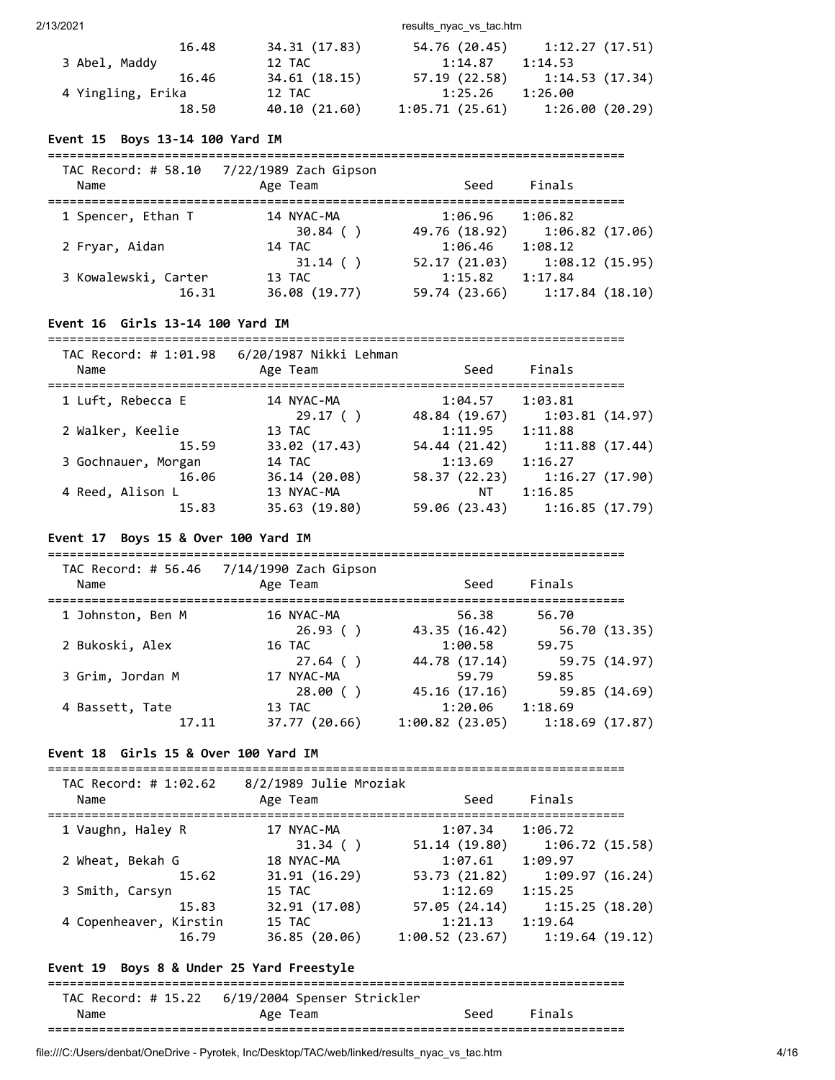2/13/2021 results\_nyac\_vs\_tac.htm

| 34.31 (17.83) | 54.76 (20.45)  | 1:12.27(17.51) |
|---------------|----------------|----------------|
| 12 TAC        | 1:14.87        | 1:14.53        |
| 34.61 (18.15) | 57.19(22.58)   | 1:14.53(17.34) |
| 12 TAC        | 1:25.26        | 1:26.00        |
| 40.10 (21.60) | 1:05.71(25.61) | 1:26.00(20.29) |
|               |                |                |

# **Event 15 Boys 13-14 100 Yard IM**

| TAC Record: # 58.10<br>Name   | 7/22/1989 Zach Gipson<br>Age Team     | Seed                     | Finals                                      |
|-------------------------------|---------------------------------------|--------------------------|---------------------------------------------|
| 1 Spencer, Ethan T            | 14 NYAC-MA<br>$30.84$ ()              | 1:06.96<br>49.76 (18.92) | 1:06.82<br>1:06.82(17.06)                   |
| 2 Fryar, Aidan                | 14 TAC                                | 1:06.46                  | 1:08.12                                     |
| 3 Kowalewski, Carter<br>16.31 | $31.14$ ()<br>13 TAC<br>36.08 (19.77) | 52.17 (21.03)<br>1:15.82 | 1:08.12(15.95)<br>1:17.84<br>1:17.84(18.10) |
|                               |                                       | 59.74 (23.66)            |                                             |

# **Event 16 Girls 13-14 100 Yard IM**

===============================================================================

| TAC Record: # 1:01.98<br>Name | 6/20/1987 Nikki Lehman<br>Age Team | Seed          | Finals         |
|-------------------------------|------------------------------------|---------------|----------------|
| 1 Luft, Rebecca E             | 14 NYAC-MA                         | 1:04.57       | 1:03.81        |
|                               | 29.17(                             | 48.84 (19.67) | 1:03.81(14.97) |
| 2 Walker, Keelie              | 13 TAC                             | 1:11.95       | 1:11.88        |
| 15.59                         | 33.02 (17.43)                      | 54.44 (21.42) | 1:11.88(17.44) |
| 3 Gochnauer, Morgan           | 14 TAC                             | 1:13.69       | 1:16.27        |
| 16.06                         | 36.14 (20.08)                      | 58.37 (22.23) | 1:16.27(17.90) |
| 4 Reed, Alison L              | 13 NYAC-MA                         | ΝT            | 1:16.85        |
| 15.83                         | 35.63 (19.80)                      | 59.06 (23.43) | 1:16.85(17.79) |

# **Event 17 Boys 15 & Over 100 Yard IM**

===============================================================================

| TAC Record: # 56.46<br>Name | 7/14/1990 Zach Gipson<br>Age Team | Seed           | Finals         |
|-----------------------------|-----------------------------------|----------------|----------------|
| 1 Johnston, Ben M           | 16 NYAC-MA                        | 56.38          | 56.70          |
|                             | 26.93()                           | 43.35 (16.42)  | 56.70 (13.35)  |
| 2 Bukoski, Alex             | 16 TAC                            | 1:00.58        | 59.75          |
|                             | $27.64$ ()                        | 44.78 (17.14)  | 59.75 (14.97)  |
| 3 Grim, Jordan M            | 17 NYAC-MA                        | 59.79          | 59.85          |
|                             | 28.00()                           | 45.16 (17.16)  | 59.85(14.69)   |
| 4 Bassett, Tate             | 13 TAC                            | 1:20.06        | 1:18.69        |
| 17.11                       | 37.77 (20.66)                     | 1:00.82(23.05) | 1:18.69(17.87) |

# **Event 18 Girls 15 & Over 100 Yard IM**

#### ===============================================================================

TAC Record: # 1:02.62 8/2/1989 Julie Mroziak

| Name                   | Age Team      | Seed           | Finals         |
|------------------------|---------------|----------------|----------------|
| 1 Vaughn, Haley R      | 17 NYAC-MA    | 1:07.34        | 1:06.72        |
|                        | $31.34$ ()    | 51.14 (19.80)  | 1:06.72(15.58) |
| 2 Wheat, Bekah G       | 18 NYAC-MA    | 1:07.61        | 1:09.97        |
| 15.62                  | 31.91(16.29)  | 53.73 (21.82)  | 1:09.97(16.24) |
| 3 Smith, Carsyn        | 15 TAC        | 1:12.69        | 1:15.25        |
| 15.83                  | 32.91 (17.08) | 57.05 (24.14)  | 1:15.25(18.20) |
| 4 Copenheaver, Kirstin | 15 TAC        | 1:21.13        | 1:19.64        |
| 16.79                  | 36.85 (20.06) | 1:00.52(23.67) | 1:19.64(19.12) |
|                        |               |                |                |

# **Event 19 Boys 8 & Under 25 Yard Freestyle**

=============================================================================== TAC Record: # 15.22 6/19/2004 Spenser Strickler Name **Age Team** Seed Finals ===============================================================================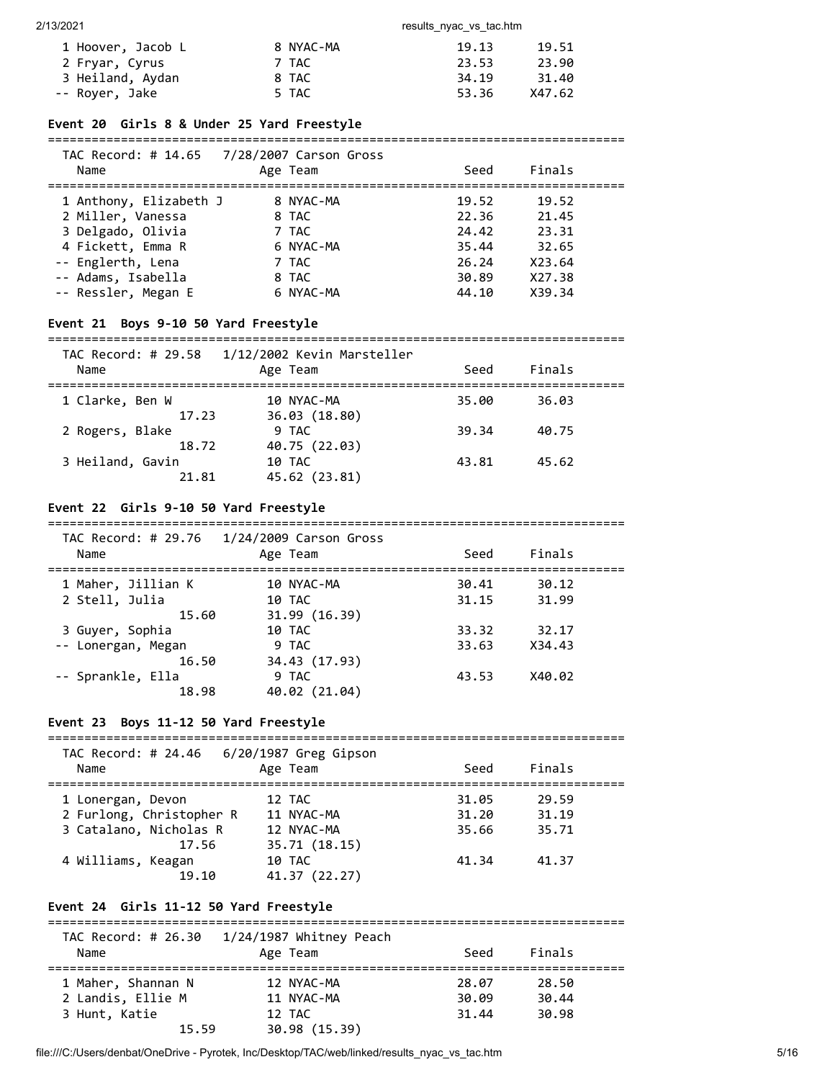| 1 Hoover, Jacob L | 8 NYAC-MA | 19.13 | 19.51  |
|-------------------|-----------|-------|--------|
| 2 Fryar, Cyrus    | 7 TAC     | 23.53 | 23.90  |
| 3 Heiland, Aydan  | 8 TAC     | 34.19 | 31.40  |
| -- Royer, Jake    | 5 TAC     | 53.36 | X47.62 |

### **Event 20 Girls 8 & Under 25 Yard Freestyle**

===============================================================================

| Name                   | TAC Record: # 14.65 7/28/2007 Carson Gross<br>Age Team | Seed  | Finals |  |
|------------------------|--------------------------------------------------------|-------|--------|--|
| 1 Anthony, Elizabeth J | 8 NYAC-MA                                              | 19.52 | 19.52  |  |
| 2 Miller, Vanessa      | 8 TAC                                                  | 22.36 | 21.45  |  |
| 3 Delgado, Olivia      | 7 TAC                                                  | 24.42 | 23.31  |  |
| 4 Fickett, Emma R      | 6 NYAC-MA                                              | 35.44 | 32.65  |  |
| -- Englerth, Lena      | 7 TAC                                                  | 26.24 | X23.64 |  |
| -- Adams, Isabella     | 8 TAC                                                  | 30.89 | X27.38 |  |
| -- Ressler, Megan E    | 6 NYAC-MA                                              | 44.10 | X39.34 |  |

# **Event 21 Boys 9-10 50 Yard Freestyle**

=============================================================================== TAC Record: # 29.58 1/12/2002 Kevin Marsteller

| $TAC$ $NECO$ $NAC$ $TZJCD$<br>Name | $\perp$ / $\perp$ 2/2002 NEVIII FIGI SLEIIEI<br>Age Team | Seed  | Finals |  |
|------------------------------------|----------------------------------------------------------|-------|--------|--|
| 1 Clarke, Ben W                    | 10 NYAC-MA                                               | 35.00 | 36.03  |  |
| 17.23<br>2 Rogers, Blake           | 36.03 (18.80)<br>9 TAC                                   | 39.34 | 40.75  |  |
| 18.72                              | 40.75 (22.03)                                            | 43.81 | 45.62  |  |
| 3 Heiland, Gavin<br>21.81          | 10 TAC<br>45.62 (23.81)                                  |       |        |  |

# **Event 22 Girls 9-10 50 Yard Freestyle**

===============================================================================

| Name               | TAC Record: # 29.76 1/24/2009 Carson Gross<br>Age Team | Seed  | Finals |  |
|--------------------|--------------------------------------------------------|-------|--------|--|
| 1 Maher, Jillian K | 10 NYAC-MA                                             | 30.41 | 30.12  |  |
| 2 Stell, Julia     | 10 TAC                                                 | 31.15 | 31.99  |  |
| 15.60              | 31.99(16.39)                                           |       |        |  |
| 3 Guyer, Sophia    | 10 TAC                                                 | 33.32 | 32.17  |  |
| -- Lonergan, Megan | 9 TAC                                                  | 33.63 | X34.43 |  |
| 16.50              | 34.43 (17.93)                                          |       |        |  |
| -- Sprankle, Ella  | 9 TAC                                                  | 43.53 | X40.02 |  |
| 18.98              | 40.02 (21.04)                                          |       |        |  |

# **Event 23 Boys 11-12 50 Yard Freestyle**

| TAC Record: # 24.46<br>Name | $6/20/1987$ Greg Gipson<br>Age Team | Seed  | Finals |  |
|-----------------------------|-------------------------------------|-------|--------|--|
| 1 Lonergan, Devon           | 12 TAC                              | 31.05 | 29.59  |  |
| 2 Furlong, Christopher R    | 11 NYAC-MA                          | 31.20 | 31.19  |  |
| 3 Catalano, Nicholas R      | 12 NYAC-MA                          | 35.66 | 35.71  |  |
| 17.56                       | 35.71 (18.15)                       |       |        |  |
| 4 Williams, Keagan          | 10 TAC                              | 41.34 | 41.37  |  |
| 19.10                       | 41.37 (22.27)                       |       |        |  |

# **Event 24 Girls 11-12 50 Yard Freestyle**

| TAC Record: # 26.30 | 1/24/1987 Whitney Peach |       |        |  |
|---------------------|-------------------------|-------|--------|--|
| Name                | Age Team                | Seed  | Finals |  |
|                     |                         |       |        |  |
| 1 Maher, Shannan N  | 12 NYAC-MA              | 28.07 | 28.50  |  |
| 2 Landis, Ellie M   | 11 NYAC-MA              | 30.09 | 30.44  |  |
| 3 Hunt, Katie       | 12 TAC                  | 31.44 | 30.98  |  |
| 15.59               | 30.98 (15.39)           |       |        |  |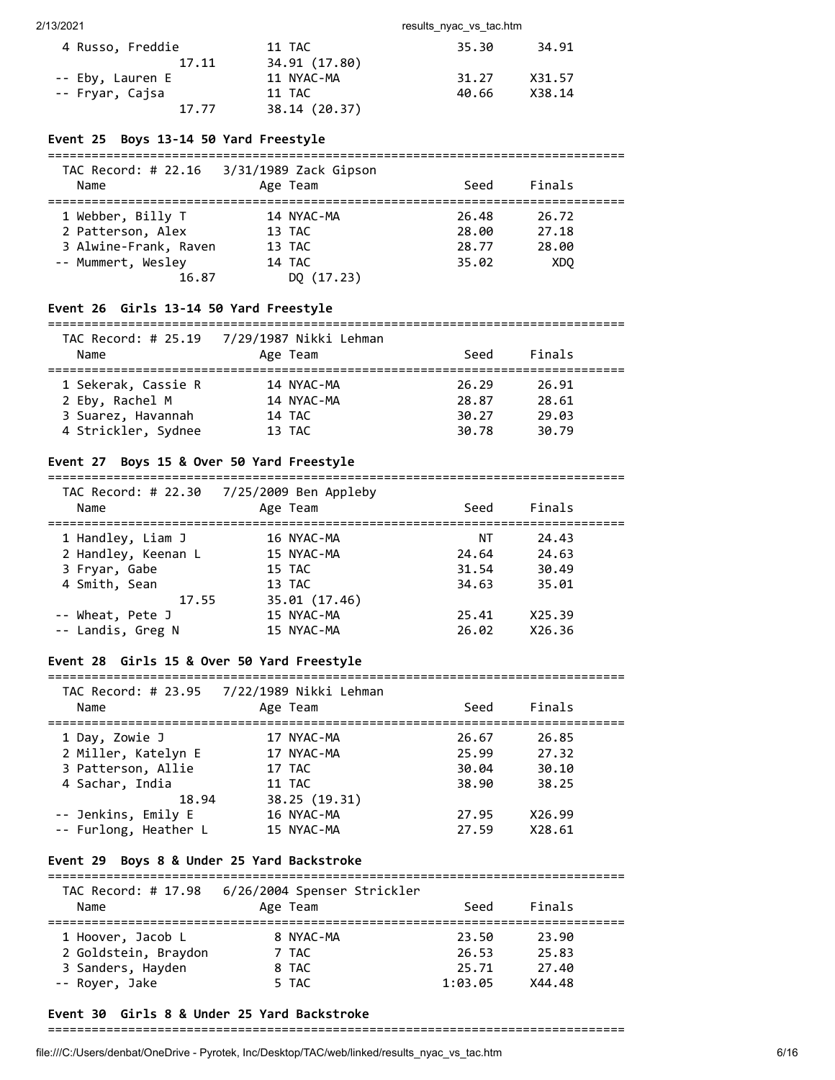| 4 Russo, Freddie | 11 TAC        | 35.30 | 34.91  |
|------------------|---------------|-------|--------|
| 17.11            | 34.91 (17.80) |       |        |
| -- Eby, Lauren E | 11 NYAC-MA    | 31.27 | X31.57 |
| -- Fryar, Cajsa  | 11 TAC        | 40.66 | X38.14 |
| 17.77            | 38.14 (20.37) |       |        |

# **Event 25 Boys 13-14 50 Yard Freestyle**

|                       | TAC Record: # 22.16 3/31/1989 Zack Gipson |       |                 |  |
|-----------------------|-------------------------------------------|-------|-----------------|--|
| Name                  | Age Team                                  | Seed  | Finals          |  |
| 1 Webber, Billy T     | 14 NYAC-MA                                | 26.48 | 26.72           |  |
| 2 Patterson, Alex     | 13 TAC                                    | 28.00 | 27.18           |  |
| 3 Alwine-Frank, Raven | 13 TAC                                    | 28.77 | 28.00           |  |
| -- Mummert, Wesley    | 14 TAC                                    | 35.02 | XD <sub>0</sub> |  |
| 16.87                 | DO (17.23)                                |       |                 |  |

### **Event 26 Girls 13-14 50 Yard Freestyle**

#### =============================================================================== TAC Record: # 25.19 7/29/1987 Nikki Lehman

| Name                | TAC RECOMU. # 25.19   //29/198/ NIKKI LENMIRN<br>Age Team | Seed  | Finals |  |
|---------------------|-----------------------------------------------------------|-------|--------|--|
| 1 Sekerak, Cassie R | 14 NYAC-MA                                                | 26.29 | 26.91  |  |
|                     |                                                           |       |        |  |
| 2 Eby, Rachel M     | 14 NYAC-MA                                                | 28.87 | 28.61  |  |
| 3 Suarez, Havannah  | 14 TAC                                                    | 30.27 | 29.03  |  |
| 4 Strickler, Sydnee | 13 TAC                                                    | 30.78 | 30.79  |  |

# **Event 27 Boys 15 & Over 50 Yard Freestyle**

#### =============================================================================== TAC Record: # 22.30 7/25/2009 Ben Appleby

| Name                | Age Team      | Seed  | Finals |  |
|---------------------|---------------|-------|--------|--|
| 1 Handley, Liam J   | 16 NYAC-MA    | ΝT    | 24.43  |  |
| 2 Handley, Keenan L | 15 NYAC-MA    | 24.64 | 24.63  |  |
| 3 Fryar, Gabe       | 15 TAC        | 31.54 | 30.49  |  |
| 4 Smith, Sean       | 13 TAC        | 34.63 | 35.01  |  |
| 17.55               | 35.01 (17.46) |       |        |  |
| -- Wheat, Pete J    | 15 NYAC-MA    | 25.41 | X25.39 |  |
| -- Landis, Greg N   | 15 NYAC-MA    | 26.02 | X26.36 |  |
|                     |               |       |        |  |

### **Event 28 Girls 15 & Over 50 Yard Freestyle**

### =============================================================================== TAC Record: # 23.95 7/22/1989 Nikki Lehman

| Name                  | Age Team      | Seed  | Finals |  |
|-----------------------|---------------|-------|--------|--|
| 1 Day, Zowie J        | 17 NYAC-MA    | 26.67 | 26.85  |  |
| 2 Miller, Katelyn E   | 17 NYAC-MA    | 25.99 | 27.32  |  |
| 3 Patterson, Allie    | 17 TAC        | 30.04 | 30.10  |  |
| 4 Sachar, India       | 11 TAC        | 38.90 | 38.25  |  |
| 18.94                 | 38.25 (19.31) |       |        |  |
| -- Jenkins, Emily E   | 16 NYAC-MA    | 27.95 | X26.99 |  |
| -- Furlong, Heather L | 15 NYAC-MA    | 27.59 | X28.61 |  |

# **Event 29 Boys 8 & Under 25 Yard Backstroke**

| TAC Record: # 17.98<br>Name | 6/26/2004 Spenser Strickler<br>Age Team | Seed    | Finals |  |
|-----------------------------|-----------------------------------------|---------|--------|--|
| 1 Hoover, Jacob L           | 8 NYAC-MA                               | 23.50   | 23.90  |  |
| 2 Goldstein, Braydon        | 7 TAC                                   | 26.53   | 25.83  |  |
| 3 Sanders, Hayden           | 8 TAC                                   | 25.71   | 27.40  |  |
| -- Royer, Jake              | 5 TAC                                   | 1:03.05 | X44.48 |  |

===============================================================================

# **Event 30 Girls 8 & Under 25 Yard Backstroke**

# ===============================================================================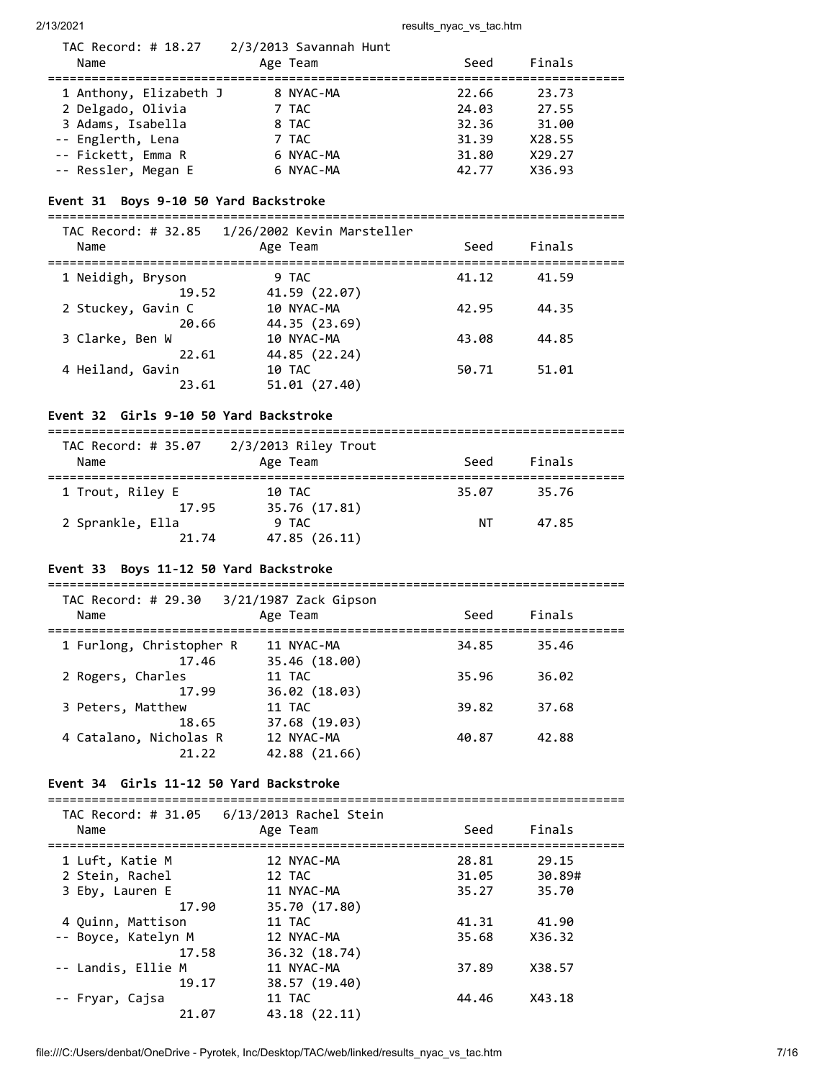| TAC Record: # 18.27<br>Name | 2/3/2013 Savannah Hunt<br>Age Team | Seed  | Finals |  |
|-----------------------------|------------------------------------|-------|--------|--|
| 1 Anthony, Elizabeth J      | 8 NYAC-MA                          | 22.66 | 23.73  |  |
| 2 Delgado, Olivia           | 7 TAC                              | 24.03 | 27.55  |  |
| 3 Adams, Isabella           | 8 TAC                              | 32.36 | 31.00  |  |
| -- Englerth, Lena           | 7 TAC                              | 31.39 | X28.55 |  |
| -- Fickett, Emma R          | 6 NYAC-MA                          | 31.80 | X29.27 |  |
| -- Ressler, Megan E         | 6 NYAC-MA                          | 42.77 | X36.93 |  |

# **Event 31 Boys 9-10 50 Yard Backstroke**

===============================================================================

| TAC Record: # 32.85<br>Name | 1/26/2002 Kevin Marsteller<br>Age Team | Seed  | Finals |  |
|-----------------------------|----------------------------------------|-------|--------|--|
| 1 Neidigh, Bryson           | 9 TAC                                  | 41.12 | 41.59  |  |
| 19.52<br>2 Stuckey, Gavin C | 41.59 (22.07)<br>10 NYAC-MA            | 42.95 | 44.35  |  |
| 20.66                       | 44.35 (23.69)                          |       |        |  |
| 3 Clarke, Ben W             | 10 NYAC-MA                             | 43.08 | 44.85  |  |
| 22.61<br>4 Heiland, Gavin   | 44.85 (22.24)<br>10 TAC                | 50.71 | 51.01  |  |
| 23.61                       | 51.01 (27.40)                          |       |        |  |

# **Event 32 Girls 9-10 50 Yard Backstroke**

| TAC Record: # 35.07<br>Name        | 2/3/2013 Riley Trout<br>Age Team        | Seed  | Finals |  |
|------------------------------------|-----------------------------------------|-------|--------|--|
| 1 Trout, Riley E                   | 10 TAC                                  | 35.07 | 35.76  |  |
| 17.95<br>2 Sprankle, Ella<br>21.74 | 35.76 (17.81)<br>9 TAC<br>47.85 (26.11) | ΝT    | 47.85  |  |

# **Event 33 Boys 11-12 50 Yard Backstroke**

| TAC Record: # 29.30<br>Name       | 3/21/1987 Zack Gipson<br>Age Team | Seed  | Finals |  |
|-----------------------------------|-----------------------------------|-------|--------|--|
| 1 Furlong, Christopher R<br>17.46 | 11 NYAC-MA<br>35.46 (18.00)       | 34.85 | 35.46  |  |
| 2 Rogers, Charles<br>17.99        | 11 TAC<br>36.02(18.03)            | 35.96 | 36.02  |  |
| 3 Peters, Matthew<br>18.65        | 11 TAC<br>37.68 (19.03)           | 39.82 | 37.68  |  |
| 4 Catalano, Nicholas R<br>21.22   | 12 NYAC-MA<br>42.88 (21.66)       | 40.87 | 42.88  |  |

# **Event 34 Girls 11-12 50 Yard Backstroke**

===============================================================================

| Name                | Age Team      | Seed  | Finals |
|---------------------|---------------|-------|--------|
| 1 Luft, Katie M     | 12 NYAC-MA    | 28.81 | 29.15  |
| 2 Stein, Rachel     | 12 TAC        | 31.05 | 30.89# |
| 3 Eby, Lauren E     | 11 NYAC-MA    | 35.27 | 35.70  |
| 17.90               | 35.70 (17.80) |       |        |
| 4 Ouinn, Mattison   | 11 TAC        | 41.31 | 41.90  |
| -- Boyce, Katelyn M | 12 NYAC-MA    | 35.68 | X36.32 |
| 17.58               | 36.32 (18.74) |       |        |
| -- Landis, Ellie M  | 11 NYAC-MA    | 37.89 | X38.57 |
| 19.17               | 38.57 (19.40) |       |        |
| -- Fryar, Cajsa     | 11 TAC        | 44.46 | X43.18 |
| 21.07               | 43.18 (22.11) |       |        |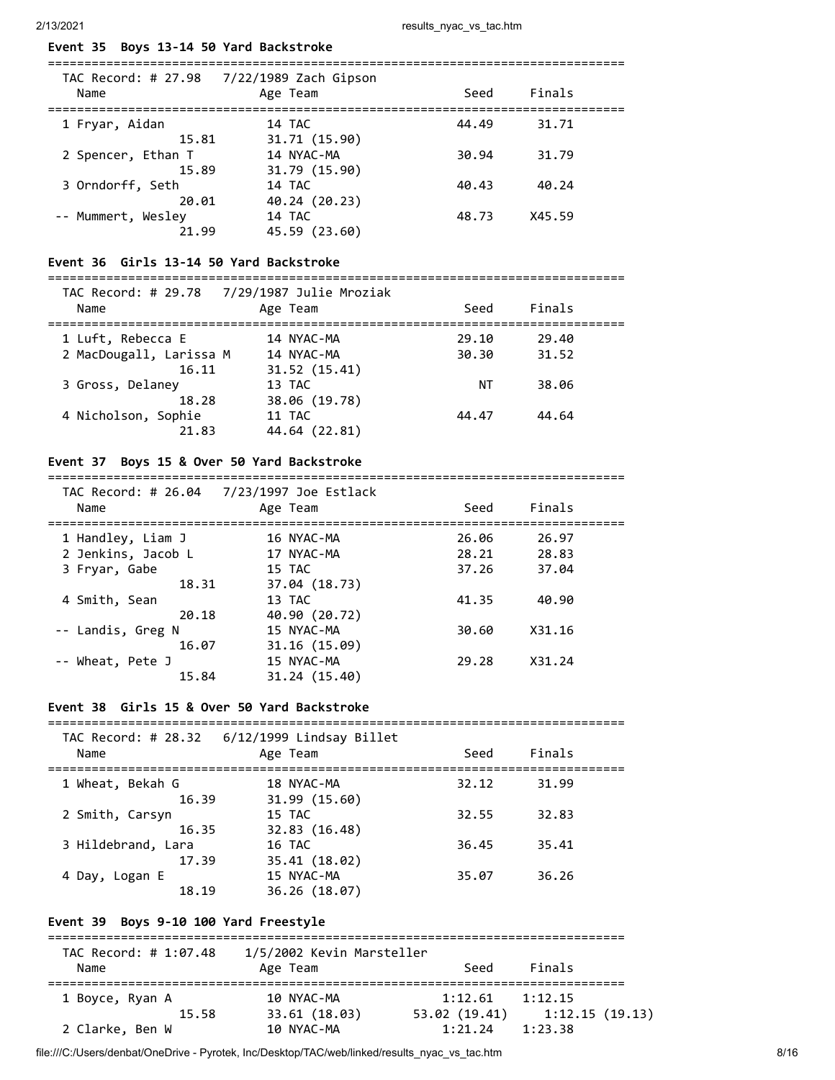# **Event 35 Boys 13-14 50 Yard Backstroke**

| TAC Record: # 27.98<br>Name | 7/22/1989 Zach Gipson<br>Age Team | Seed  | Finals |  |
|-----------------------------|-----------------------------------|-------|--------|--|
| 1 Fryar, Aidan<br>15.81     | 14 TAC<br>31.71 (15.90)           | 44.49 | 31.71  |  |
| 2 Spencer, Ethan T<br>15.89 | 14 NYAC-MA<br>31.79 (15.90)       | 30.94 | 31.79  |  |
| 3 Orndorff, Seth<br>20.01   | 14 TAC<br>40.24 (20.23)           | 40.43 | 40.24  |  |
| -- Mummert, Wesley<br>21.99 | 14 TAC<br>45.59 (23.60)           | 48.73 | X45.59 |  |

# **Event 36 Girls 13-14 50 Yard Backstroke**

===============================================================================

| Name                    | TAC Record: # 29.78 7/29/1987 Julie Mroziak<br>Age Team | Seed  | Finals |  |
|-------------------------|---------------------------------------------------------|-------|--------|--|
| 1 Luft, Rebecca E       | 14 NYAC-MA                                              | 29.10 | 29.40  |  |
| 2 MacDougall, Larissa M | 14 NYAC-MA                                              | 30.30 | 31.52  |  |
| 16.11                   | 31.52 (15.41)                                           |       |        |  |
| 3 Gross, Delaney        | 13 TAC                                                  | ΝT    | 38.06  |  |
| 18.28                   | 38.06 (19.78)                                           |       |        |  |
| 4 Nicholson, Sophie     | 11 TAC                                                  | 44.47 | 44.64  |  |
| 21.83                   | 44.64 (22.81)                                           |       |        |  |

# **Event 37 Boys 15 & Over 50 Yard Backstroke**

===============================================================================

| TAC Record: # 26.04<br>Name | 7/23/1997 Joe Estlack<br>Age Team | Seed  | Finals |  |
|-----------------------------|-----------------------------------|-------|--------|--|
| 1 Handley, Liam J           | 16 NYAC-MA                        | 26.06 | 26.97  |  |
| 2 Jenkins, Jacob L          | 17 NYAC-MA                        | 28.21 | 28.83  |  |
| 3 Fryar, Gabe               | 15 TAC                            | 37.26 | 37.04  |  |
| 18.31                       | 37.04 (18.73)                     |       |        |  |
| 4 Smith, Sean               | 13 TAC                            | 41.35 | 40.90  |  |
| 20.18                       | 40.90 (20.72)                     |       |        |  |
| -- Landis, Greg N           | 15 NYAC-MA                        | 30.60 | X31.16 |  |
| 16.07                       | 31.16(15.09)                      |       |        |  |
| -- Wheat, Pete J            | 15 NYAC-MA                        | 29.28 | X31.24 |  |
| 15.84                       | 31.24 (15.40)                     |       |        |  |

# **Event 38 Girls 15 & Over 50 Yard Backstroke**

=============================================================================== TAC Record: # 28.32 6/12/1999 Lindsay Billet

| Name               | THE RECORD. THEORSE THEY ISSSED EITHING BILLET<br>Age Team | Seed  | Finals |  |
|--------------------|------------------------------------------------------------|-------|--------|--|
| 1 Wheat, Bekah G   | 18 NYAC-MA                                                 | 32.12 | 31.99  |  |
| 16.39              | 31.99 (15.60)                                              |       |        |  |
| 2 Smith, Carsyn    | 15 TAC                                                     | 32.55 | 32.83  |  |
| 16.35              | 32.83 (16.48)                                              |       |        |  |
| 3 Hildebrand, Lara | 16 TAC                                                     | 36.45 | 35.41  |  |
| 17.39              | 35.41 (18.02)                                              |       |        |  |
| 4 Day, Logan E     | 15 NYAC-MA                                                 | 35.07 | 36.26  |  |
| 18.19              | 36.26 (18.07)                                              |       |        |  |

# **Event 39 Boys 9-10 100 Yard Freestyle**

| TAC Record: # 1:07.48 | 1/5/2002 Kevin Marsteller |               |                |
|-----------------------|---------------------------|---------------|----------------|
| Name                  | Age Team                  | Seed          | Finals         |
| 1 Boyce, Ryan A       | 10 NYAC-MA                | 1:12.61       | 1:12.15        |
| 15.58                 | 33.61 (18.03)             | 53.02 (19.41) | 1:12.15(19.13) |
| 2 Clarke, Ben W       | 10 NYAC-MA                | 1:21.24       | 1:23.38        |

file:///C:/Users/denbat/OneDrive - Pyrotek, Inc/Desktop/TAC/web/linked/results\_nyac\_vs\_tac.htm 8/16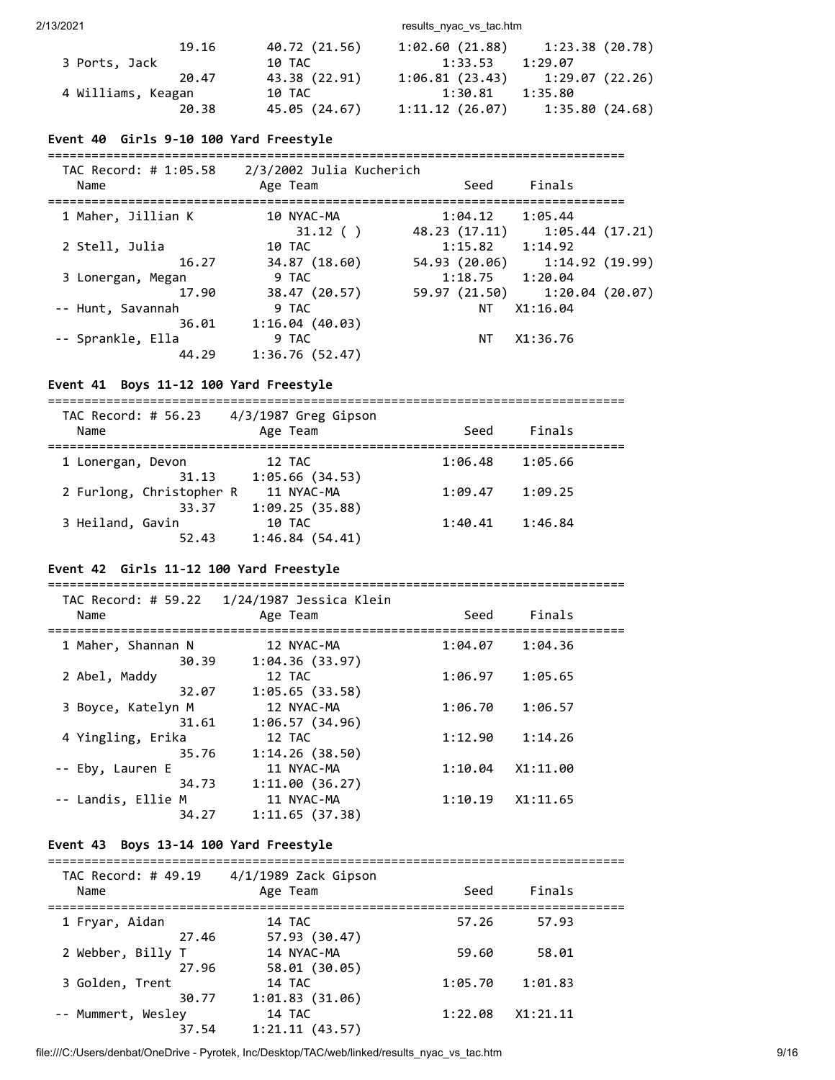2/13/2021 results\_nyac\_vs\_tac.htm

| 19.16              | 40.72 (21.56) | 1:02.60(21.88) | 1:23.38(20.78)                    |
|--------------------|---------------|----------------|-----------------------------------|
| 3 Ports, Jack      | 10 TAC        | 1:33.53        | 1:29.07                           |
| 20.47              | 43.38 (22.91) |                | $1:06.81(23.43)$ $1:29.07(22.26)$ |
| 4 Williams, Keagan | 10 TAC        | 1:30.81        | 1:35.80                           |
| 20.38              | 45.05 (24.67) | 1:11.12(26.07) | 1:35.80(24.68)                    |

# **Event 40 Girls 9-10 100 Yard Freestyle**

| TAC Record: # 1:05.58<br>Name | 2/3/2002 Julia Kucherich<br>Age Team | Seed                     | Finals                        |
|-------------------------------|--------------------------------------|--------------------------|-------------------------------|
| 1 Maher, Jillian K            | 10 NYAC-MA                           | 1:04.12                  | 1:05.44                       |
| 2 Stell, Julia                | 31.12()<br>10 TAC                    | 48.23 (17.11)<br>1:15.82 | 1:05.44 (17.21)<br>1:14.92    |
| 16.27                         | 34.87 (18.60)                        | 54.93 (20.06)            | 1:14.92(19.99)                |
| 3 Lonergan, Megan             | 9 TAC                                | 1:18.75                  | 1:20.04                       |
| 17.90                         | 38.47 (20.57)                        |                          | 59.97 (21.50) 1:20.04 (20.07) |
| -- Hunt, Savannah             | 9 TAC                                | NT                       | X1:16.04                      |
| 36.01                         | 1:16.04(40.03)                       |                          |                               |
| -- Sprankle, Ella             | 9 TAC                                | NT.                      | X1:36.76                      |
| 44.29                         | 1:36.76(52.47)                       |                          |                               |

# **Event 41 Boys 11-12 100 Yard Freestyle**

===============================================================================  $TAC$  Record:  $\# EC$  22  $A/2/1097$  Greg Gips

| IAC Record: # 56.23<br>Name | 4/3/198/ Greg Gipson<br>Age Team | Seed    | Finals  |  |
|-----------------------------|----------------------------------|---------|---------|--|
| 1 Lonergan, Devon           | 12 TAC                           | 1:06.48 | 1:05.66 |  |
| 31.13                       | 1:05.66(34.53)                   |         |         |  |
| 2 Furlong, Christopher R    | 11 NYAC-MA                       | 1:09.47 | 1:09.25 |  |
| 33.37                       | 1:09.25(35.88)                   |         |         |  |
| 3 Heiland, Gavin            | 10 TAC                           | 1:40.41 | 1:46.84 |  |
| 52.43                       | 1:46.84(54.41)                   |         |         |  |
|                             |                                  |         |         |  |

# **Event 42 Girls 11-12 100 Yard Freestyle**

| Name                                 | TAC Record: # 59.22  1/24/1987 Jessica Klein<br>Age Team | Seed    | Finals   |  |
|--------------------------------------|----------------------------------------------------------|---------|----------|--|
| 1 Maher, Shannan N<br>30.39          | 12 NYAC-MA<br>1:04.36(33.97)                             | 1:04.07 | 1:04.36  |  |
| 2 Abel, Maddy<br>32.07               | 12 TAC<br>1:05.65(33.58)                                 | 1:06.97 | 1:05.65  |  |
| 3 Boyce, Katelyn M                   | 12 NYAC-MA                                               | 1:06.70 | 1:06.57  |  |
| 31.61<br>4 Yingling, Erika           | 1:06.57(34.96)<br>12 TAC                                 | 1:12.90 | 1:14.26  |  |
| 35.76<br>-- Eby, Lauren E            | 1:14.26(38.50)<br>11 NYAC-MA                             | 1:10.04 | X1:11.00 |  |
| 34.73<br>-- Landis, Ellie M<br>34.27 | 1:11.00(36.27)<br>11 NYAC-MA<br>1:11.65(37.38)           | 1:10.19 | X1:11.65 |  |
|                                      |                                                          |         |          |  |

### **Event 43 Boys 13-14 100 Yard Freestyle**

#### ===============================================================================  $T_A$ C Record: # 49.19  $A/1/1989$  Zack Ginson

| IAL RECORU. # 49.19<br>Name | 4/1/1909 ZdCK GIDSON<br>Age Team | Seed    | Finals   |  |
|-----------------------------|----------------------------------|---------|----------|--|
| 1 Fryar, Aidan              | 14 TAC                           | 57.26   | 57.93    |  |
| 27.46<br>2 Webber, Billy T  | 57.93 (30.47)<br>14 NYAC-MA      | 59.60   | 58.01    |  |
| 27.96<br>3 Golden, Trent    | 58.01 (30.05)<br>14 TAC          | 1:05.70 | 1:01.83  |  |
| 30.77                       | 1:01.83(31.06)                   |         |          |  |
| -- Mummert, Wesley<br>37.54 | 14 TAC<br>1:21.11(43.57)         | 1:22.08 | X1:21.11 |  |
|                             |                                  |         |          |  |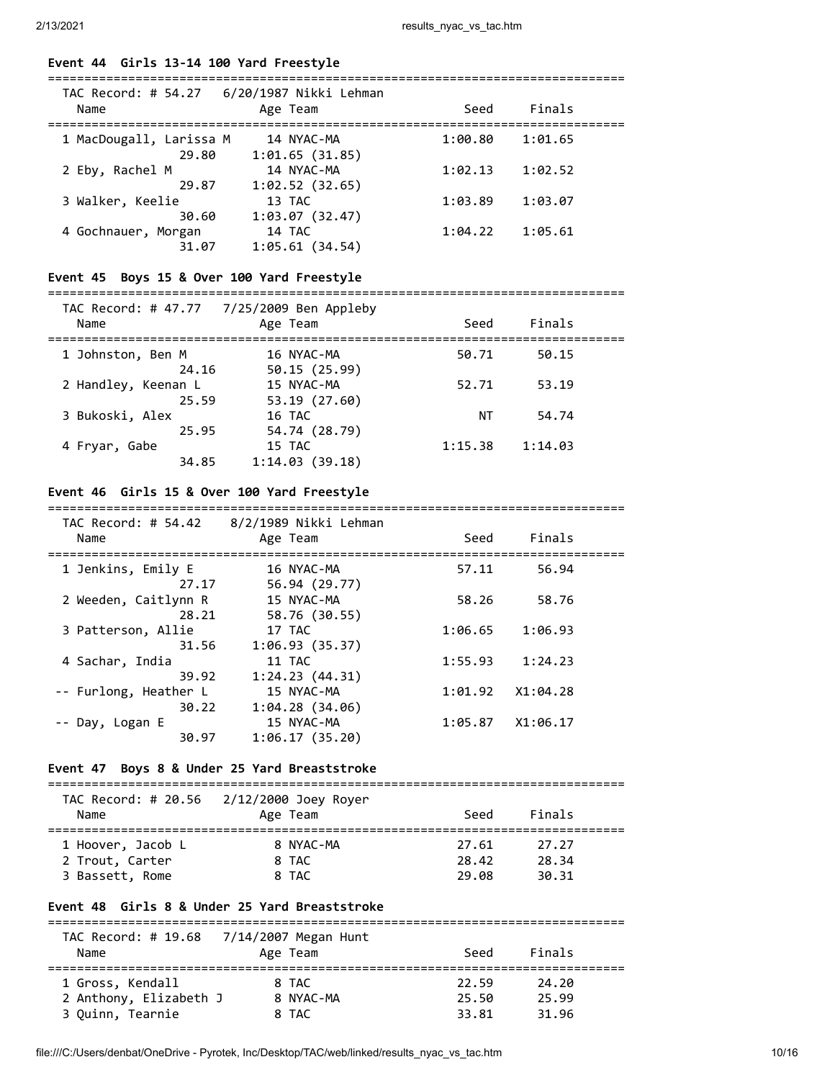### **Event 44 Girls 13-14 100 Yard Freestyle**

| Name                             | Age Team                     | Seed    | Finals  |  |
|----------------------------------|------------------------------|---------|---------|--|
| 1 MacDougall, Larissa M<br>29.80 | 14 NYAC-MA<br>1:01.65(31.85) | 1:00.80 | 1:01.65 |  |
| 2 Eby, Rachel M<br>29.87         | 14 NYAC-MA<br>1:02.52(32.65) | 1:02.13 | 1:02.52 |  |
| 3 Walker, Keelie<br>30.60        | 13 TAC<br>1:03.07(32.47)     | 1:03.89 | 1:03.07 |  |
| 4 Gochnauer, Morgan<br>31.07     | 14 TAC<br>1:05.61(34.54)     | 1:04.22 | 1:05.61 |  |

# **Event 45 Boys 15 & Over 100 Yard Freestyle**

# ===============================================================================

| Name                         | TAC Record: # 47.77 7/25/2009 Ben Appleby<br>Age Team | Seed    | Finals  |  |
|------------------------------|-------------------------------------------------------|---------|---------|--|
| 1 Johnston, Ben M<br>24.16   | 16 NYAC-MA<br>50.15 (25.99)                           | 50.71   | 50.15   |  |
| 2 Handley, Keenan L<br>25.59 | 15 NYAC-MA<br>53.19 (27.60)                           | 52.71   | 53.19   |  |
| 3 Bukoski, Alex<br>25.95     | 16 TAC<br>54.74 (28.79)                               | ΝT      | 54.74   |  |
| 4 Fryar, Gabe<br>34.85       | 15 TAC<br>1:14.03(39.18)                              | 1:15.38 | 1:14.03 |  |

# **Event 46 Girls 15 & Over 100 Yard Freestyle**

#### ===============================================================================  $TAC$  Record:  $H.54.42$  8/2/1989 Nikki Leh

| IAC Record: # 54.42<br>Name    | 8/2/1989 NIKKI LENMAN<br>Age Team | Seed    | Finals   |  |
|--------------------------------|-----------------------------------|---------|----------|--|
| 1 Jenkins, Emily E<br>27.17    | 16 NYAC-MA<br>56.94 (29.77)       | 57.11   | 56.94    |  |
| 2 Weeden, Caitlynn R<br>28.21  | 15 NYAC-MA<br>58.76 (30.55)       | 58.26   | 58.76    |  |
| 3 Patterson, Allie<br>31.56    | 17 TAC<br>1:06.93(35.37)          | 1:06.65 | 1:06.93  |  |
| 4 Sachar, India<br>39.92       | 11 TAC<br>1:24.23(44.31)          | 1:55.93 | 1:24.23  |  |
| -- Furlong, Heather L<br>30.22 | 15 NYAC-MA<br>1:04.28(34.06)      | 1:01.92 | X1:04.28 |  |
| -- Day, Logan E<br>30.97       | 15 NYAC-MA<br>1:06.17(35.20)      | 1:05.87 | X1:06.17 |  |
|                                |                                   |         |          |  |

### **Event 47 Boys 8 & Under 25 Yard Breaststroke**

===============================================================================

| Name              | TAC Record: # 20.56 2/12/2000 Joey Royer<br>Age Team | Seed  | Finals |  |
|-------------------|------------------------------------------------------|-------|--------|--|
| 1 Hoover, Jacob L | 8 NYAC-MA                                            | 27.61 | 27.27  |  |
| 2 Trout, Carter   | 8 TAC                                                | 28.42 | 28.34  |  |
| 3 Bassett, Rome   | 8 TAC                                                | 29.08 | 30.31  |  |

# **Event 48 Girls 8 & Under 25 Yard Breaststroke**

|                        | TAC Record: # 19.68 7/14/2007 Megan Hunt |       |        |
|------------------------|------------------------------------------|-------|--------|
| Name                   | Age Team                                 | Seed  | Finals |
| 1 Gross, Kendall       | 8 TAC                                    | 22.59 | 24.20  |
| 2 Anthony, Elizabeth J | 8 NYAC-MA                                | 25.50 | 25.99  |
| 3 Quinn, Tearnie       | 8 TAC                                    | 33.81 | 31.96  |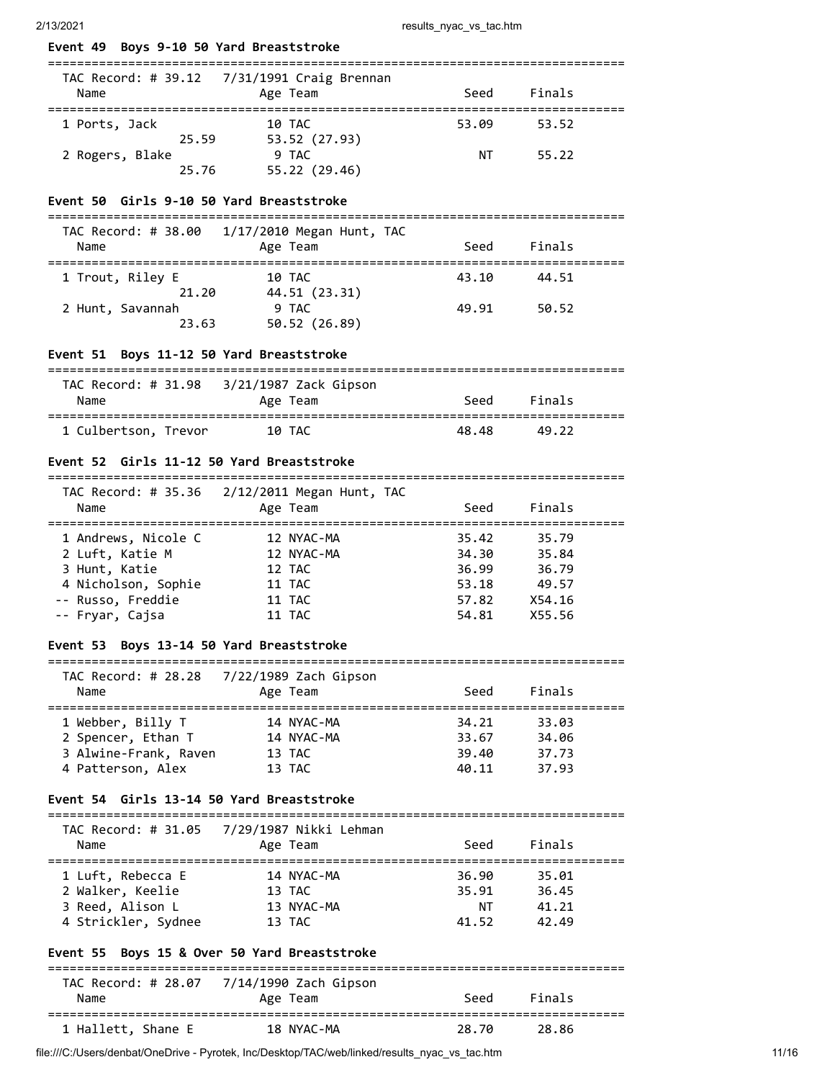| Event 49 Boys 9-10 50 Yard Breaststroke                    |                                               |             |                                                 |  |
|------------------------------------------------------------|-----------------------------------------------|-------------|-------------------------------------------------|--|
|                                                            | TAC Record: # 39.12  7/31/1991 Craig Brennan  |             |                                                 |  |
| Name<br>=====================                              | Age Team<br>:================================ | Seed        | Finals                                          |  |
| 1 Ports, Jack                                              | 10 TAC                                        | 53.09       | 53.52                                           |  |
|                                                            | 25.59 53.52 (27.93)                           |             |                                                 |  |
| 2 Rogers, Blake<br>25.76                                   | 9 TAC<br>55.22 (29.46)                        | NT          | 55.22                                           |  |
| Event 50 Girls 9-10 50 Yard Breaststroke                   |                                               |             |                                                 |  |
| TAC Record: # 38.00                                        | 1/17/2010 Megan Hunt, TAC                     |             |                                                 |  |
| Name                                                       | Age Team                                      | Seed        | Finals                                          |  |
| 1 Trout, Riley E                                           | 10 TAC                                        |             | 43.10 44.51                                     |  |
| 21.20                                                      | 44.51 (23.31)                                 |             |                                                 |  |
| 2 Hunt, Savannah<br>23.63                                  | 9 TAC<br>50.52 (26.89)                        | 49.91 50.52 |                                                 |  |
| Event 51 Boys 11-12 50 Yard Breaststroke                   |                                               |             |                                                 |  |
|                                                            |                                               |             |                                                 |  |
| Name                                                       | Age Team                                      | Seed        | Finals                                          |  |
| 1 Culbertson, Trevor 10 TAC                                |                                               | 48.48       | 49.22                                           |  |
| Event 52 Girls 11-12 50 Yard Breaststroke                  |                                               |             |                                                 |  |
| TAC Record: # 35.36                                        | 2/12/2011 Megan Hunt, TAC                     |             |                                                 |  |
| Name                                                       | Age Team                                      | Seed        | Finals                                          |  |
| 1 Andrews, Nicole C                                        | 12 NYAC-MA                                    | 35.42       | 35.79                                           |  |
| 2 Luft, Katie M                                            | 12 NYAC-MA                                    | 34.30       | 35.84                                           |  |
| 3 Hunt, Katie                                              | 12 TAC                                        | 36.99       | 36.79                                           |  |
| 4 Nicholson, Sophie 11 TAC                                 |                                               | 53.18       | 49.57                                           |  |
| -- Russo, Freddie                                          | 11 TAC                                        | 57.82       | X54.16                                          |  |
| -- Fryar, Cajsa                                            | <b>11 TAC</b>                                 | 54.81       | X55.56                                          |  |
| Event 53                                                   | Boys 13-14 50 Yard Breaststroke               |             |                                                 |  |
| TAC Record: # 28.28                                        | 7/22/1989 Zach Gipson                         |             |                                                 |  |
| Name                                                       | Age Team                                      | Seed        | Finals                                          |  |
| =====================================<br>1 Webber, Billy T | 14 NYAC-MA                                    | 34.21       | :=====================================<br>33.03 |  |
| 2 Spencer, Ethan T                                         | 14 NYAC-MA                                    | 33.67       | 34.06                                           |  |
| 3 Alwine-Frank, Raven                                      | 13 TAC                                        | 39.40       | 37.73                                           |  |
| 4 Patterson, Alex                                          | 13 TAC                                        | 40.11       | 37.93                                           |  |

### **Event 54 Girls 13-14 50 Yard Breaststroke**

=============================================================================== TAC Record: # 31.05 7/29/1987 Nikki Lehman Name Age Team Seed Finals =============================================================================== 1 Luft, Rebecca E 14 NYAC-MA 36.90 35.01 2 Walker, Keelie 13 TAC 35.91 36.45

 3 Reed, Alison L 13 NYAC-MA NT 41.21 4 Strickler, Sydnee 13 TAC 41.52 42.49

### **Event 55 Boys 15 & Over 50 Yard Breaststroke**

| TAC Record: # 28.07 | 7/14/1990 Zach Gipson |       |        |  |
|---------------------|-----------------------|-------|--------|--|
| Name                | Age Team              | Seed  | Finals |  |
| 1 Hallett, Shane E  | 18 NYAC-MA            | 28.70 | -28.86 |  |

file:///C:/Users/denbat/OneDrive - Pyrotek, Inc/Desktop/TAC/web/linked/results\_nyac\_vs\_tac.htm 11/16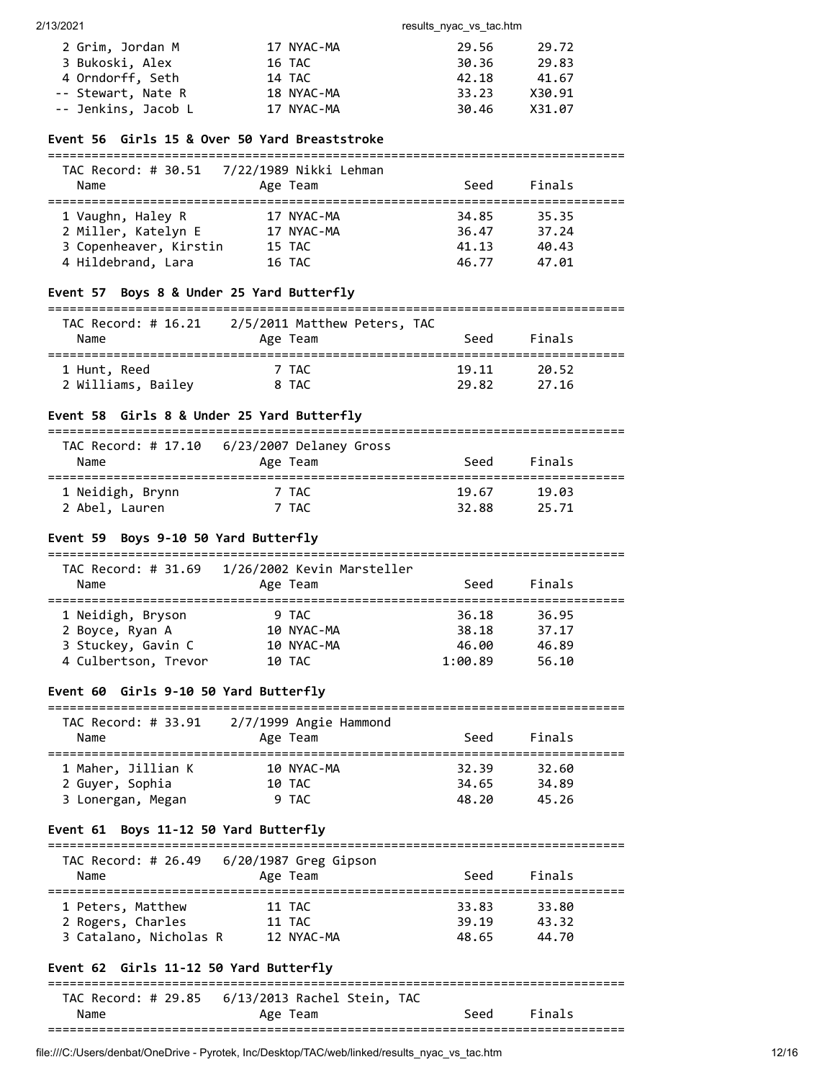2/13/2021 results\_nyac\_vs\_tac.htm

| 2 Grim, Jordan M    | 17 NYAC-MA | 29.56 | 29.72  |
|---------------------|------------|-------|--------|
| 3 Bukoski, Alex     | 16 TAC     | 30.36 | 29.83  |
| 4 Orndorff, Seth    | 14 TAC     | 42.18 | 41.67  |
| -- Stewart, Nate R  | 18 NYAC-MA | 33.23 | X30.91 |
| -- Jenkins, Jacob L | 17 NYAC-MA | 30.46 | X31.07 |

### **Event 56 Girls 15 & Over 50 Yard Breaststroke**

| Name                   | Age Team   | Seed  | Finals |  |
|------------------------|------------|-------|--------|--|
| 1 Vaughn, Haley R      | 17 NYAC-MA | 34.85 | 35.35  |  |
| 2 Miller, Katelyn E    | 17 NYAC-MA | 36.47 | 37.24  |  |
| 3 Copenheaver, Kirstin | 15 TAC     | 41.13 | 40.43  |  |
| 4 Hildebrand, Lara     | 16 TAC     | 46.77 | 47.01  |  |

# **Event 57 Boys 8 & Under 25 Yard Butterfly**

#### ===============================================================================

| TAC Record: # 16.21 | 2/5/2011 Matthew Peters, TAC |       |        |  |
|---------------------|------------------------------|-------|--------|--|
| Name                | Age Team                     | Seed  | Finals |  |
|                     |                              |       |        |  |
| 1 Hunt, Reed        | 7 TAC                        | 19.11 | 20.52  |  |
| 2 Williams, Bailey  | 8 TAC                        | 29.82 | 27.16  |  |

# **Event 58 Girls 8 & Under 25 Yard Butterfly**

| TAC Record: # 17.10<br>Name | 6/23/2007 Delaney Gross<br>Age Team | Seed  | Finals |  |
|-----------------------------|-------------------------------------|-------|--------|--|
| 1 Neidigh, Brynn            | 7 TAC                               | 19.67 | 19.03  |  |
| 2 Abel, Lauren              | 7 TAC                               | 32.88 | 25.71  |  |

# **Event 59 Boys 9-10 50 Yard Butterfly**

| TAC Record: # 31.69<br>Name | 1/26/2002 Kevin Marsteller<br>Age Team | Seed    | Finals |  |
|-----------------------------|----------------------------------------|---------|--------|--|
| 1 Neidigh, Bryson           | 9 TAC                                  | 36.18   | 36.95  |  |
| 2 Boyce, Ryan A             | 10 NYAC-MA                             | 38.18   | 37.17  |  |
| 3 Stuckey, Gavin C          | 10 NYAC-MA                             | 46.00   | 46.89  |  |
| 4 Culbertson, Trevor        | 10 TAC                                 | 1:00.89 | 56.10  |  |

# **Event 60 Girls 9-10 50 Yard Butterfly**

| TAC Record: # 33.91 | $2/7/1999$ Angie Hammond |       |        |  |
|---------------------|--------------------------|-------|--------|--|
| Name                | Age Team                 | Seed  | Finals |  |
| 1 Maher, Jillian K  | 10 NYAC-MA               | 32.39 | 32.60  |  |
| 2 Guyer, Sophia     | 10 TAC                   | 34.65 | 34.89  |  |
| 3 Lonergan, Megan   | 9 TAC                    | 48.20 | 45.26  |  |

### **Event 61 Boys 11-12 50 Yard Butterfly**

#### ===============================================================================  $TAC$  Record: # 26.49 6/20/1987 Greg Ginson

| Name                   | THE RECOT $\alpha$ , $\pi$ zo, $\pi$ of $\alpha$ zo, $\pi$ or $\alpha$ or $\alpha$ is $\alpha$<br>Age Team | Seed  | Finals |  |
|------------------------|------------------------------------------------------------------------------------------------------------|-------|--------|--|
| 1 Peters, Matthew      | 11 TAC                                                                                                     | 33.83 | 33.80  |  |
| 2 Rogers, Charles      | 11 TAC                                                                                                     | 39.19 | 43.32  |  |
| 3 Catalano, Nicholas R | 12 NYAC-MA                                                                                                 | 48.65 | 44.70  |  |

### **Event 62 Girls 11-12 50 Yard Butterfly**

# =============================================================================== TAC Record: # 29.85 6/13/2013 Rachel Stein, TAC Name Age Team Seed Finals ===============================================================================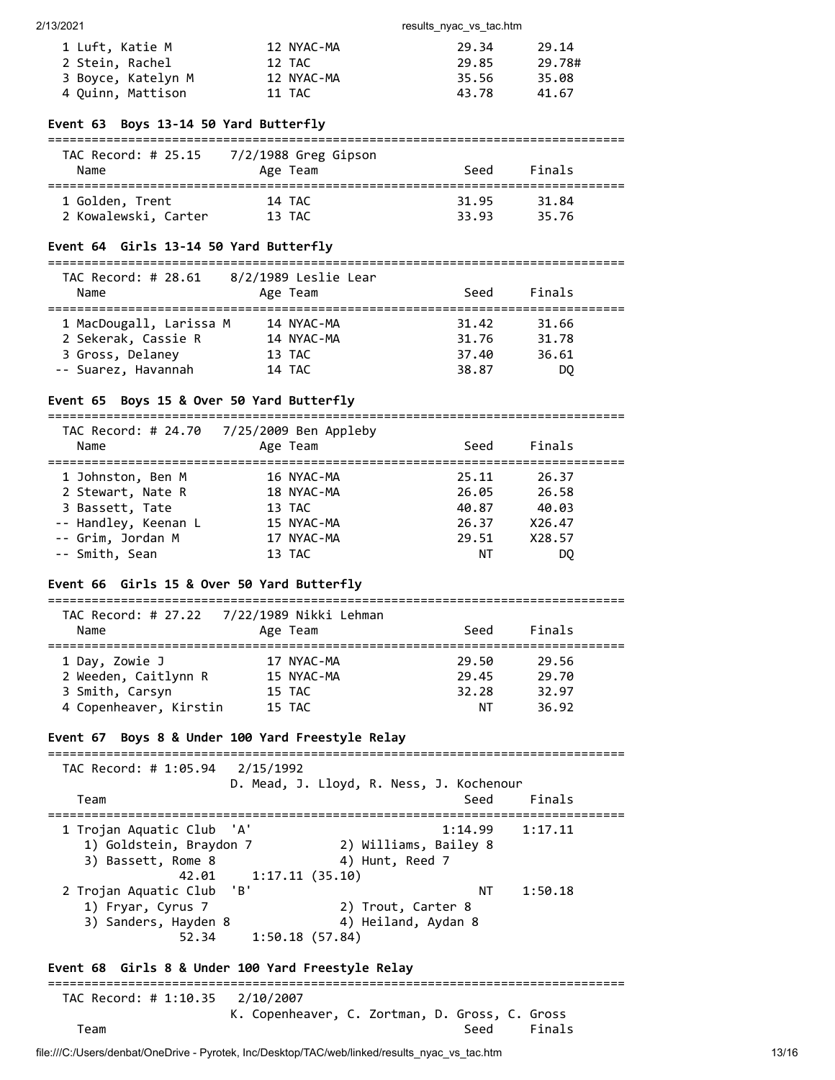| 1 Luft, Katie M    | 12 NYAC-MA | 29.34 | 29.14  |
|--------------------|------------|-------|--------|
| 2 Stein, Rachel    | 12 TAC     | 29.85 | 29.78# |
| 3 Boyce, Katelyn M | 12 NYAC-MA | 35.56 | 35.08  |
| 4 Quinn, Mattison  | 11 TAC     | 43.78 | 41.67  |

#### **Event 63 Boys 13-14 50 Yard Butterfly**

#### ===============================================================================  $7/2/1099$  Ches Ci

| Name                 | TAC Record: # 25.15 //2/1988 Greg Gipson<br>Age Team | Seed  | Finals |  |
|----------------------|------------------------------------------------------|-------|--------|--|
| 1 Golden, Trent      | 14 TAC                                               | 31.95 | 31.84  |  |
| 2 Kowalewski, Carter | 13 TAC                                               | 33.93 | 35.76  |  |

#### **Event 64 Girls 13-14 50 Yard Butterfly**

#### ===============================================================================

| TAC Record: # 28.61<br>Name | 8/2/1989 Leslie Lear<br>Age Team | Seed  | Finals |  |
|-----------------------------|----------------------------------|-------|--------|--|
| 1 MacDougall, Larissa M     | 14 NYAC-MA                       | 31.42 | 31.66  |  |
| 2 Sekerak, Cassie R         | 14 NYAC-MA                       | 31.76 | 31.78  |  |
| 3 Gross, Delaney            | 13 TAC                           | 37.40 | 36.61  |  |
| -- Suarez, Havannah         | 14 TAC                           | 38.87 | DQ     |  |

### **Event 65 Boys 15 & Over 50 Yard Butterfly**

| TAC Record: # 24.70<br>Name | 7/25/2009 Ben Appleby<br>Age Team | Seed  | Finals |  |
|-----------------------------|-----------------------------------|-------|--------|--|
| 1 Johnston, Ben M           | 16 NYAC-MA                        | 25.11 | 26.37  |  |
| 2 Stewart, Nate R           | 18 NYAC-MA                        | 26.05 | 26.58  |  |
| 3 Bassett, Tate             | 13 TAC                            | 40.87 | 40.03  |  |
| -- Handley, Keenan L        | 15 NYAC-MA                        | 26.37 | X26.47 |  |
| -- Grim, Jordan M           | 17 NYAC-MA                        | 29.51 | X28.57 |  |
| -- Smith, Sean              | 13 TAC                            | ΝT    | DO     |  |

===============================================================================

# **Event 66 Girls 15 & Over 50 Yard Butterfly**

=============================================================================== TAC Record: # 27.22 7/22/1989 Nikki Lehman Name Age Team Seed Finals =============================================================================== 1 Day, Zowie J 17 NYAC-MA 29.50 29.56 2 Weeden, Caitlynn R 15 NYAC-MA 29.45 29.70 3 Smith, Carsyn 15 TAC 32.28 32.97 4 Copenheaver, Kirstin 15 TAC

### **Event 67 Boys 8 & Under 100 Yard Freestyle Relay**

=============================================================================== TAC Record: # 1:05.94 2/15/1992 D. Mead, J. Lloyd, R. Ness, J. Kochenour Team Seed Finals =============================================================================== 1 Trojan Aquatic Club 'A' 1:14.99 1:17.11 1) Goldstein, Braydon 7 (2) Williams, Bailey 8<br>3) Bassett Rome 8 (2) Hunt Reed 7 3) Bassett, Rome 8 4) Hunt, Reed 7 42.01 1:17.11 (35.10) 2 Trojan Aquatic Club 'B' NT 1:50.18 1) Fryar, Cyrus 7 2) Trout, Carter 8 3) Sanders, Hayden 8 (4) Heiland, Aydan 8 52.34 1:50.18 (57.84) **Event 68 Girls 8 & Under 100 Yard Freestyle Relay** =============================================================================== TAC Record: # 1:10.35 2/10/2007 K. Copenheaver, C. Zortman, D. Gross, C. Gross Team Seed Finals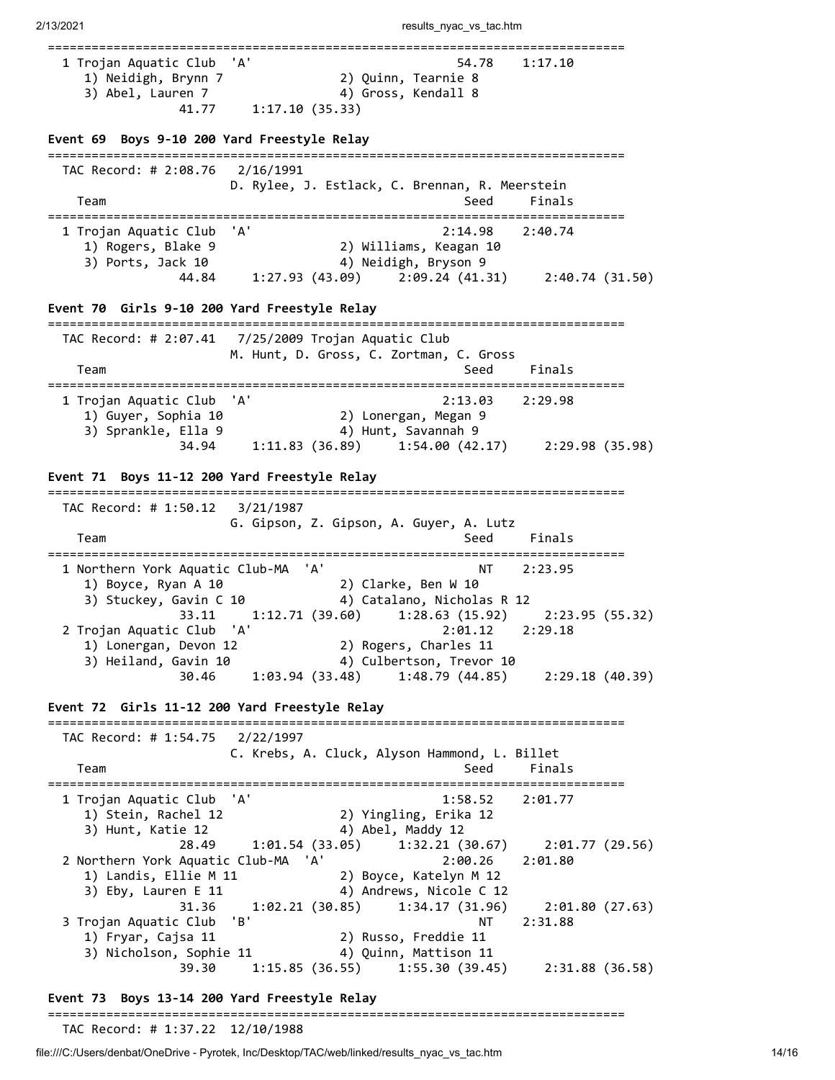| 1 Trojan Aquatic Club<br>1) Neidigh, Brynn 7                                                                                                                                         | 'A'<br>54.78<br>1:17.10<br>2) Quinn, Tearnie 8                                                                                                                                                                                                                                                    |  |
|--------------------------------------------------------------------------------------------------------------------------------------------------------------------------------------|---------------------------------------------------------------------------------------------------------------------------------------------------------------------------------------------------------------------------------------------------------------------------------------------------|--|
| 3) Abel, Lauren 7<br>41.77                                                                                                                                                           | 4) Gross, Kendall 8<br>1:17.10(35.33)                                                                                                                                                                                                                                                             |  |
| Event 69 Boys 9-10 200 Yard Freestyle Relay                                                                                                                                          |                                                                                                                                                                                                                                                                                                   |  |
| TAC Record: # 2:08.76 2/16/1991<br>Team                                                                                                                                              | D. Rylee, J. Estlack, C. Brennan, R. Meerstein<br>Seed<br>Finals                                                                                                                                                                                                                                  |  |
| 1 Trojan Aquatic Club<br>1) Rogers, Blake 9<br>3) Ports, Jack 10<br>44.84                                                                                                            | 'A'<br>2:14.98<br>2:40.74<br>2) Williams, Keagan 10<br>4) Neidigh, Bryson 9<br>$1:27.93(43.09)$ $2:09.24(41.31)$ $2:40.74(31.50)$                                                                                                                                                                 |  |
| Event 70 Girls 9-10 200 Yard Freestyle Relay                                                                                                                                         |                                                                                                                                                                                                                                                                                                   |  |
| Team                                                                                                                                                                                 | M. Hunt, D. Gross, C. Zortman, C. Gross<br>Seed<br>Finals                                                                                                                                                                                                                                         |  |
| 1 Trojan Aquatic Club 'A'<br>1) Guyer, Sophia 10<br>3) Sprankle, Ella 9<br>34.94                                                                                                     | 2:13.03<br>2:29.98<br>2) Lonergan, Megan 9<br>4) Hunt, Savannah 9<br>$1:11.83(36.89)$ $1:54.00(42.17)$ $2:29.98(35.98)$                                                                                                                                                                           |  |
| Event 71 Boys 11-12 200 Yard Freestyle Relay<br>TAC Record: # 1:50.12<br>Team                                                                                                        | 3/21/1987<br>G. Gipson, Z. Gipson, A. Guyer, A. Lutz<br>Finals<br>Seed                                                                                                                                                                                                                            |  |
| 1 Northern York Aquatic Club-MA 'A'<br>1) Boyce, Ryan A 10<br>3) Stuckey, Gavin C 10<br>33.11<br>2 Trojan Aquatic Club 'A'<br>1) Lonergan, Devon 12<br>3) Heiland, Gavin 10<br>30.46 | .==============================<br>2:23.95<br>NT<br>2) Clarke, Ben W 10<br>4) Catalano, Nicholas R 12<br>$1:12.71(39.60)$ $1:28.63(15.92)$<br>2:23.95 (55.32)<br>2:01.12<br>2:29.18<br>2) Rogers, Charles 11<br>4) Culbertson, Trevor 10<br>1:03.94(33.48)<br>$1:48.79$ (44.85) $2:29.18$ (40.39) |  |
| Event 72 Girls 11-12 200 Yard Freestyle Relay                                                                                                                                        |                                                                                                                                                                                                                                                                                                   |  |
| TAC Record: # 1:54.75<br>Team                                                                                                                                                        | 2/22/1997<br>C. Krebs, A. Cluck, Alyson Hammond, L. Billet<br>Seed<br>Finals                                                                                                                                                                                                                      |  |
| 1 Trojan Aquatic Club<br>1) Stein, Rachel 12<br>3) Hunt, Katie 12                                                                                                                    | 'A'<br>1:58.52<br>2:01.77<br>2) Yingling, Erika 12<br>4) Abel, Maddy 12                                                                                                                                                                                                                           |  |
| 28.49<br>2 Northern York Aquatic Club-MA 'A'<br>1) Landis, Ellie M 11<br>3) Eby, Lauren E 11                                                                                         | 1:01.54 (33.05)<br>1:32.21(30.67)<br>2:01.77(29.56)<br>2:00.26<br>2:01.80<br>2) Boyce, Katelyn M 12<br>4) Andrews, Nicole C 12                                                                                                                                                                    |  |
| 31.36<br>3 Trojan Aquatic Club<br>1) Fryar, Cajsa 11                                                                                                                                 | 1:02.21 (30.85)<br>1:34.17(31.96)<br>2:01.80(27.63)<br>'B'<br>ΝT<br>2:31.88<br>2) Russo, Freddie 11                                                                                                                                                                                               |  |
| 3) Nicholson, Sophie 11<br>39.30                                                                                                                                                     | 4) Quinn, Mattison 11<br>$1:15.85(36.55)$ $1:55.30(39.45)$<br>2:31.88(36.58)                                                                                                                                                                                                                      |  |

# **Event 73 Boys 13-14 200 Yard Freestyle Relay**

### ===============================================================================

TAC Record: # 1:37.22 12/10/1988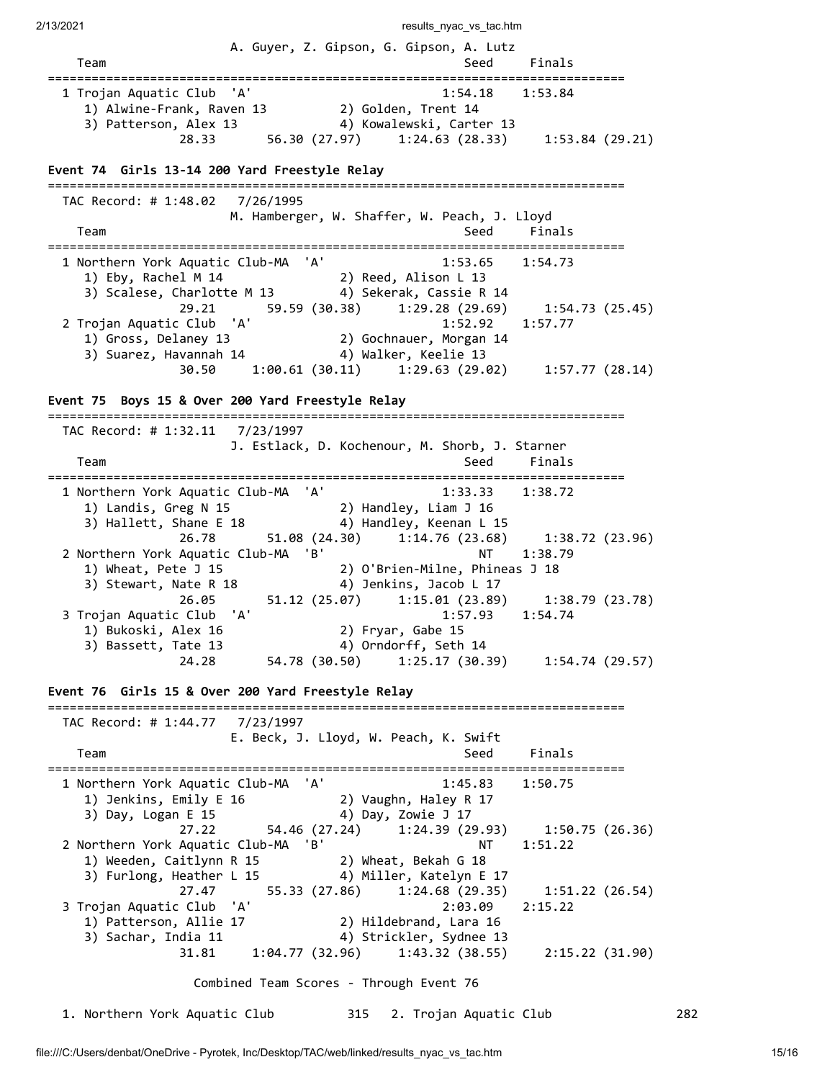2/13/2021 results\_nyac\_vs\_tac.htm A. Guyer, Z. Gipson, G. Gipson, A. Lutz Team Seed Finals =============================================================================== 1 Trojan Aquatic Club 'A' 1:54.18 1:53.84 1) Alwine-Frank, Raven 13 2) Golden, Trent 14 3) Patterson, Alex 13 4) Kowalewski, Carter 13 28.33 56.30 (27.97) 1:24.63 (28.33) 1:53.84 (29.21) **Event 74 Girls 13-14 200 Yard Freestyle Relay** =============================================================================== TAC Record: # 1:48.02 7/26/1995 M. Hamberger, W. Shaffer, W. Peach, J. Lloyd Team Seed Finals =============================================================================== 1 Northern York Aquatic Club-MA 'A' 1:53.65 1:54.73 1) Eby, Rachel M 14 2) Reed, Alison L 13 3) Scalese, Charlotte M 13 4) Sekerak, Cassie R 14 29.21 59.59 (30.38) 1:29.28 (29.69) 1:54.73 (25.45) 2 Trojan Aquatic Club 'A' 1:52.92 1:57.77 1) Gross, Delaney 13 2) Gochnauer, Morgan 14 3) Suarez, Havannah 14  $\hskip1cm$  4) Walker, Keelie 13 30.50 1:00.61 (30.11) 1:29.63 (29.02) 1:57.77 (28.14) **Event 75 Boys 15 & Over 200 Yard Freestyle Relay** =============================================================================== TAC Record: # 1:32.11 7/23/1997 J. Estlack, D. Kochenour, M. Shorb, J. Starner Team Seed Finals =============================================================================== 1 Northern York Aquatic Club-MA 'A' 1:33.33 1:38.72 1) Landis, Greg N 15 2) Handley, Liam J 16 3) Hallett, Shane E 18 4) Handley, Keenan L 15 26.78 51.08 (24.30) 1.114.76 (23.68) 1:38.72 (23.96)<br>2 Northern York Aquatic Club-MA 'B' NT 1:38.79 2 Northern York Aquatic Club-MA 'B' NT 1:38.79 1) Wheat, Pete J 15 2) O'Brien-Milne, Phineas J 18 3) Stewart, Nate R 18 4) Jenkins, Jacob L 17 26.05 51.12 (25.07) 1:15.01 (23.89) 1:38.79 (23.78) 3 Trojan Aquatic Club 'A' 1:57.93 1:54.74 1) Bukoski, Alex 16 2) Fryar, Gabe 15 3) Bassett, Tate 13 4) Orndorff, Seth 14 24.28 54.78 (30.50) 1:25.17 (30.39) 1:54.74 (29.57) **Event 76 Girls 15 & Over 200 Yard Freestyle Relay** =============================================================================== TAC Record: # 1:44.77 7/23/1997 E. Beck, J. Lloyd, W. Peach, K. Swift Team Seed Finals =============================================================================== 1 Northern York Aquatic Club-MA 'A' 1:45.83 1:50.75 1) Jenkins, Emily E 16 2) Vaughn, Haley R 17<br>3) Day, Logan E 15 4) Day, Zowie J 17 3) Day, Logan E 15 4) Day, Zowie J 17 27.22 54.46 (27.24) 1:24.39 (29.93) 1:50.75 (26.36) 2 Northern York Aquatic Club-MA 'B' NT 1:51.22 1) Weeden, Caitlynn R 15 2) Wheat, Bekah G 18 3) Furlong, Heather L 15 4) Miller, Katelyn E 17 27.47 55.33 (27.86) 1:24.68 (29.35) 1:51.22 (26.54)<br>2115.22 (26.54) 2:03.09 2:15.22 3 Trojan Aquatic Club 'A' 2:03.09 2:15.22 1) Patterson, Allie 17 2) Hildebrand, Lara 16 3) Sachar, India 11  $\hskip1cm$  4) Strickler, Sydnee 13 31.81 1:04.77 (32.96) 1:43.32 (38.55) 2:15.22 (31.90) Combined Team Scores - Through Event 76 1. Northern York Aquatic Club 315 2. Trojan Aquatic Club 282